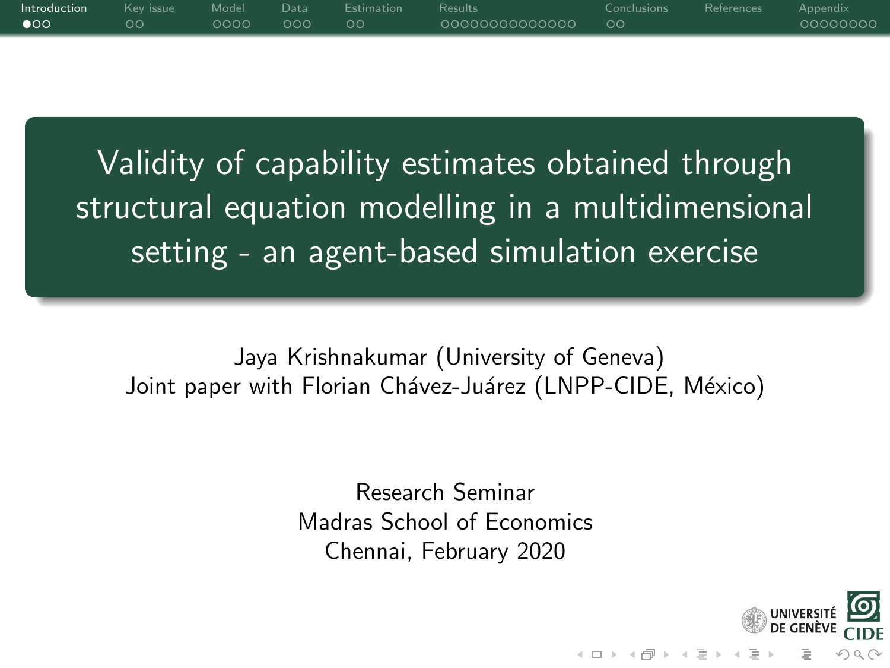<span id="page-0-1"></span><span id="page-0-0"></span>

| <b>Introduction</b> Kevissue Model Data Estimation Results |    |               |  |                   | Conclusions References Appendix |          |
|------------------------------------------------------------|----|---------------|--|-------------------|---------------------------------|----------|
| $\bullet$                                                  | ററ | 0000000000000 |  | 00000000000000 00 |                                 | 00000000 |
|                                                            |    |               |  |                   |                                 |          |

Validity of capability estimates obtained through structural equation modelling in a multidimensional setting - an agent-based simulation exercise

Jaya Krishnakumar (University of Geneva) Joint paper with Florian Chávez-Juárez (LNPP-CIDE, México)

> Research Seminar Madras School of Economics Chennai, February 2020

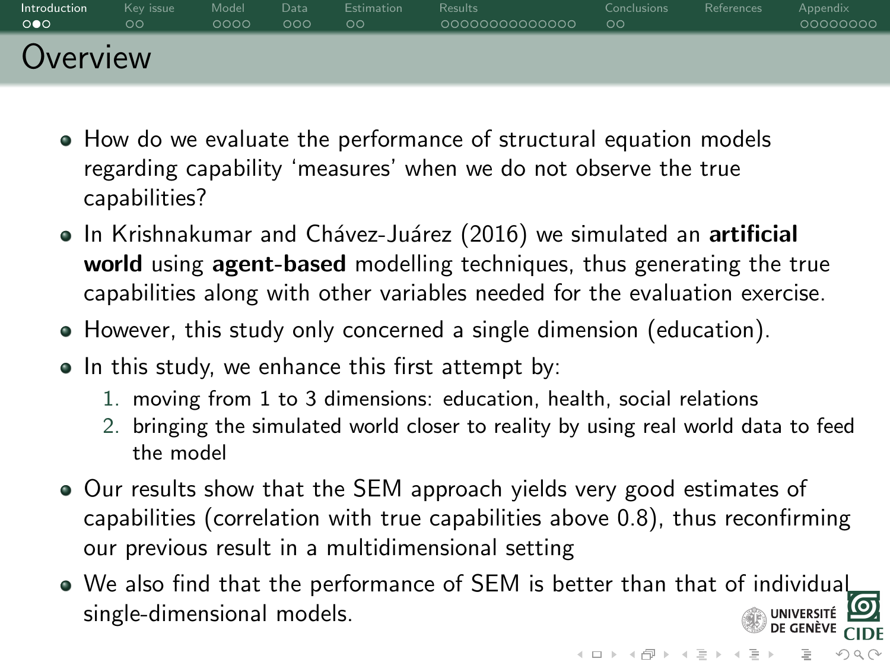| Introduction          | Key issue | Model | Data | <b>Estimation</b> | <b>Results</b> | <b>Conclusions</b> | References | Appendix |
|-----------------------|-----------|-------|------|-------------------|----------------|--------------------|------------|----------|
| $\circ \bullet \circ$ | oс        | 0000  | 000  | ಂ                 | 0000000000000  | ಂ                  |            | 00000000 |
| Overview              |           |       |      |                   |                |                    |            |          |

- How do we evaluate the performance of structural equation models regarding capability 'measures' when we do not observe the true capabilities?
- In Krishnakumar and Chávez-Juárez (2016) we simulated an artificial world using agent-based modelling techniques, thus generating the true capabilities along with other variables needed for the evaluation exercise.
- However, this study only concerned a single dimension (education).
- In this study, we enhance this first attempt by:
	- 1. moving from 1 to 3 dimensions: education, health, social relations
	- 2. bringing the simulated world closer to reality by using real world data to feed the model
- Our results show that the SEM approach yields very good estimates of capabilities (correlation with true capabilities above 0.8), thus reconfirming our previous result in a multidimensional setting
- We also find that the performance of SEM is better than that of individual single-dimensional models.

 $OQ$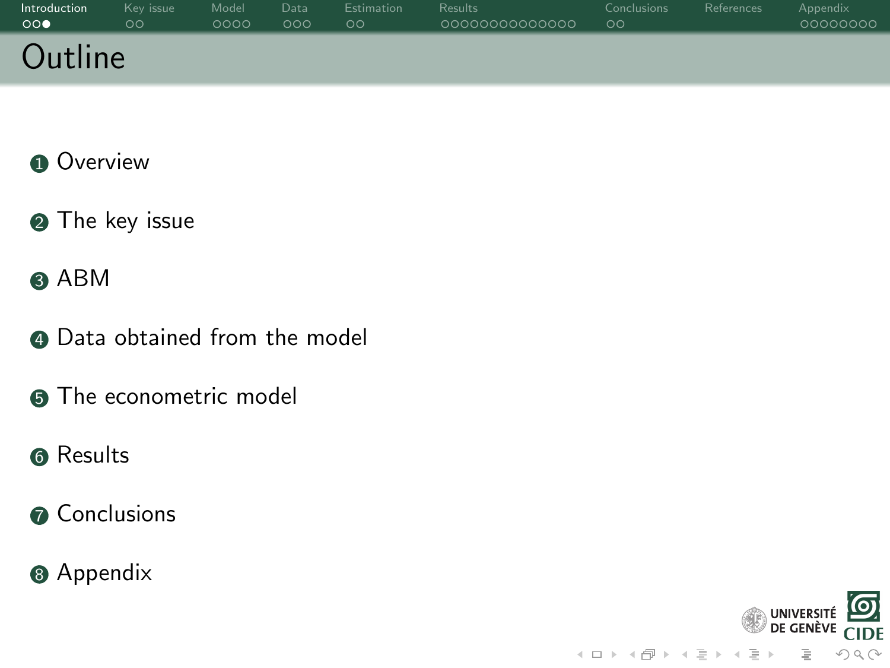| Introduction | Key issue | Model | Data | <b>Estimation</b> | <b>Results</b> | Conclusions | References | Appendix |
|--------------|-----------|-------|------|-------------------|----------------|-------------|------------|----------|
| 000          | ಂ         | 0000  | 000  | $\circ \circ$     | 0000000000000  | $\circ$     |            | 00000000 |
| Outline      |           |       |      |                   |                |             |            |          |

- **0** [Overview](#page-0-0)
- **2** [The key issue](#page-3-0)
- **3** [ABM](#page-7-0)
- **4** [Data obtained from the model](#page-11-0)
- **6** [The econometric model](#page-14-0)
- **6** [Results](#page-16-0)
- **O** [Conclusions](#page-30-0)
- **8** [Appendix](#page-36-0)

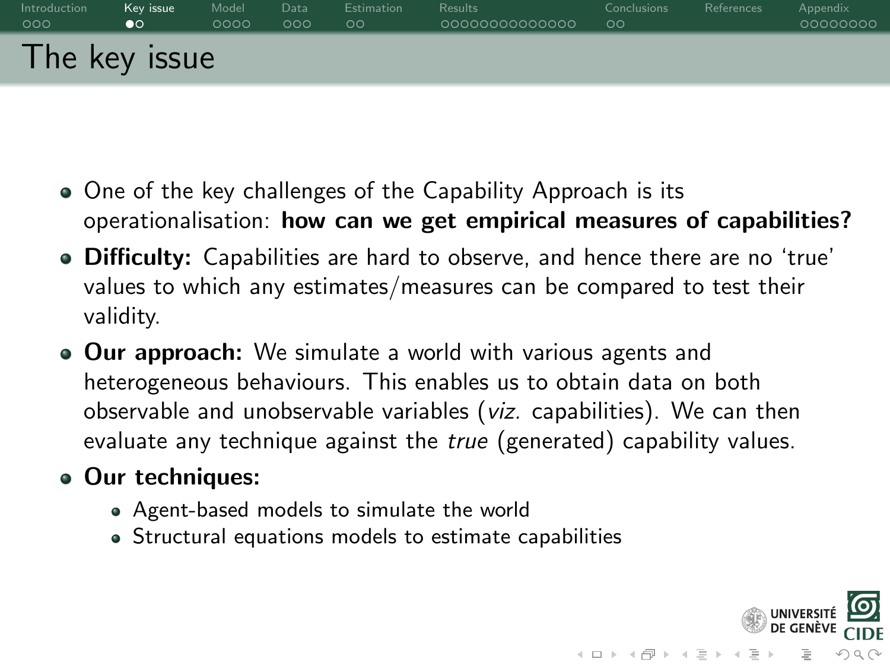<span id="page-3-0"></span>

- One of the key challenges of the Capability Approach is its operationalisation: how can we get empirical measures of capabilities?
- Difficulty: Capabilities are hard to observe, and hence there are no 'true' values to which any estimates/measures can be compared to test their validity.
- Our approach: We simulate a world with various agents and heterogeneous behaviours. This enables us to obtain data on both observable and unobservable variables (viz. capabilities). We can then evaluate any technique against the true (generated) capability values.
- Our techniques:
	- Agent-based models to simulate the world
	- Structural equations models to estimate capabilities

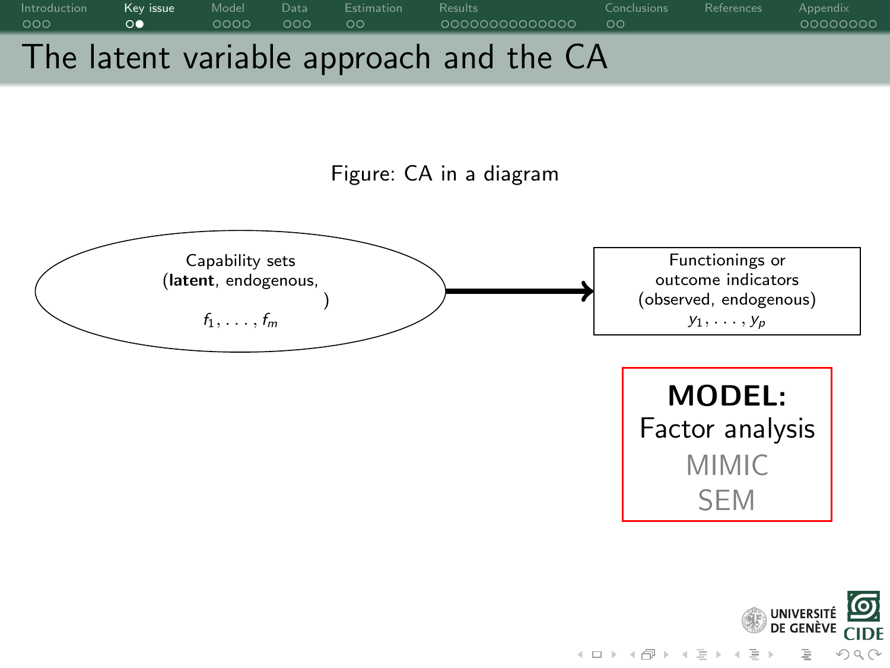



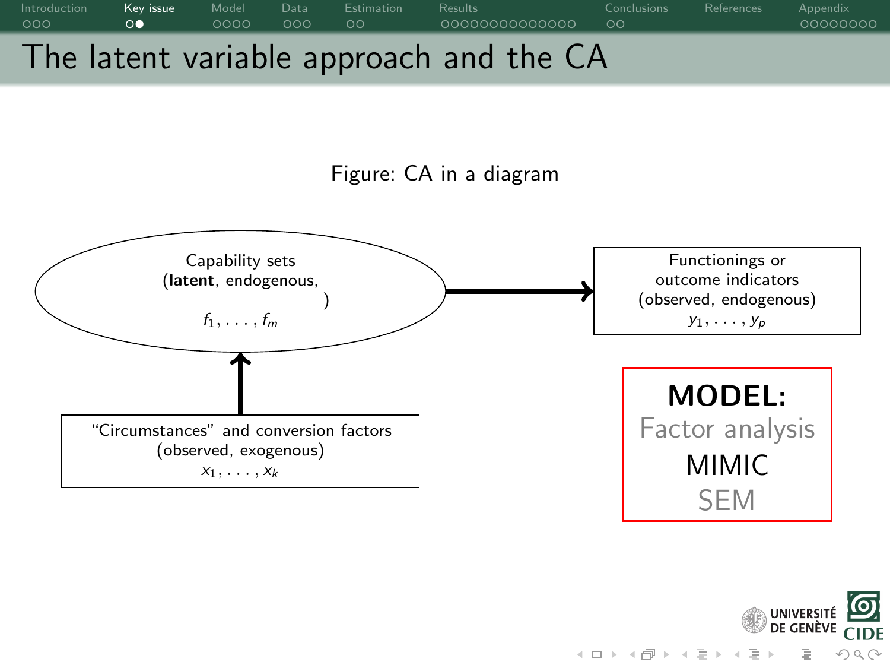





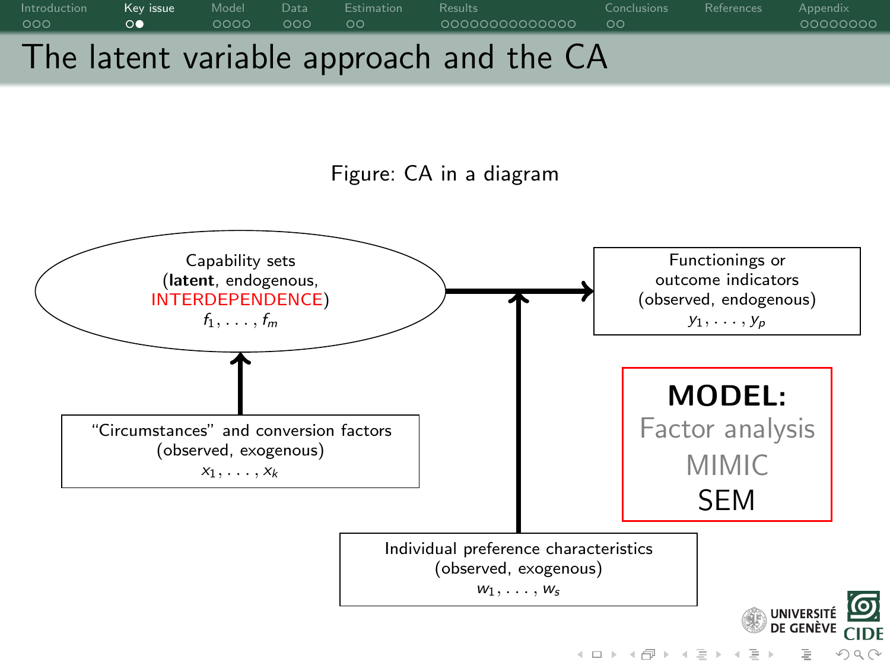



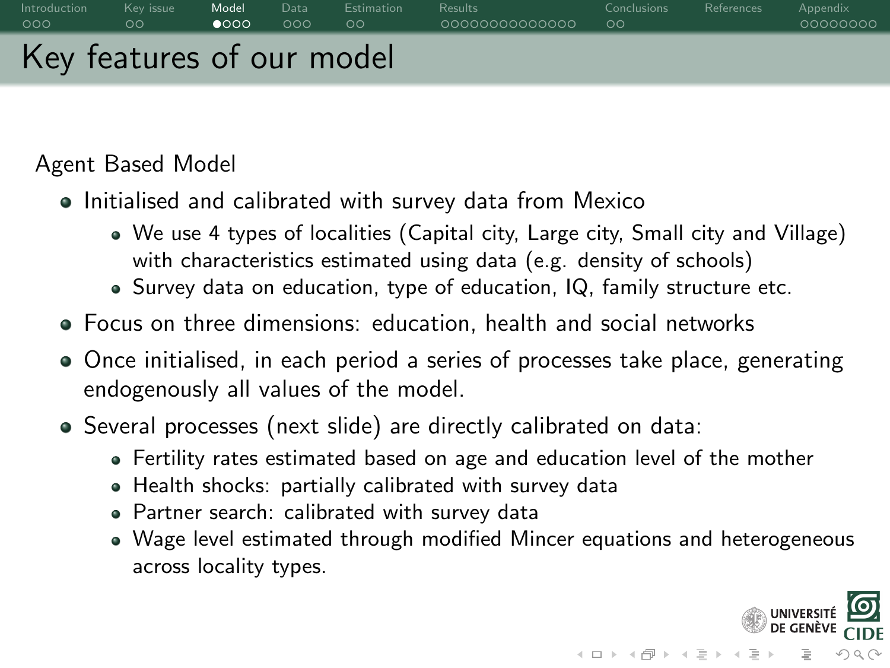<span id="page-7-0"></span>

Agent Based Model

- Initialised and calibrated with survey data from Mexico
	- We use 4 types of localities (Capital city, Large city, Small city and Village) with characteristics estimated using data (e.g. density of schools)
	- Survey data on education, type of education, IQ, family structure etc.
- Focus on three dimensions: education, health and social networks
- Once initialised, in each period a series of processes take place, generating endogenously all values of the model.
- Several processes (next slide) are directly calibrated on data:
	- Fertility rates estimated based on age and education level of the mother
	- Health shocks: partially calibrated with survey data
	- Partner search: calibrated with survey data
	- Wage level estimated through modified Mincer equations and heterogeneous across locality types.

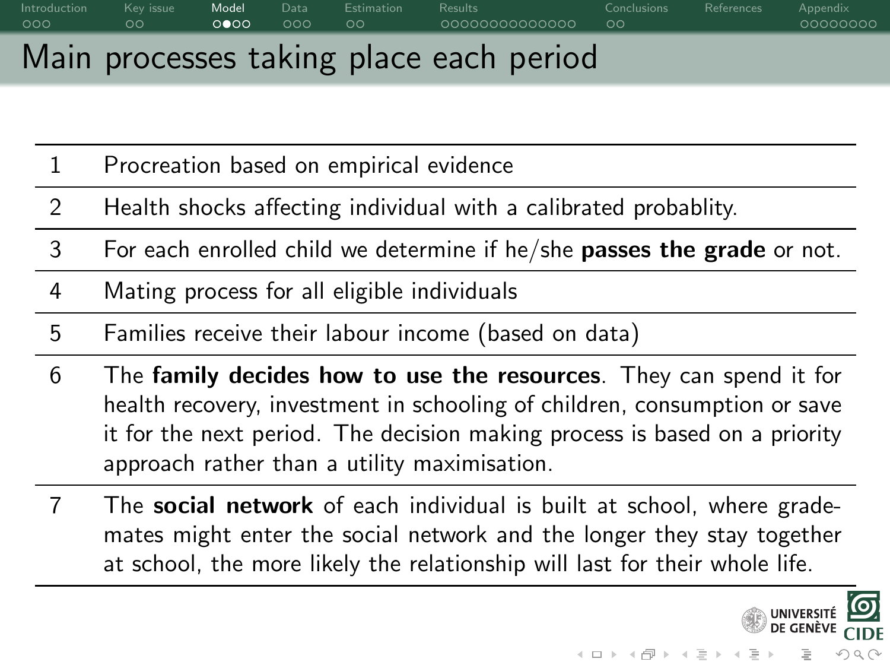# [Introduction](#page-0-0) Key issue **[Model](#page-7-0)** [Data](#page-11-0) [Estimation](#page-14-0) [Results](#page-16-0) [Conclusions](#page-30-0) [References](#page-35-0) [Appendix](#page-36-0) Main processes taking place each period

- 1 Procreation based on empirical evidence
- 2 Health shocks affecting individual with a calibrated probablity.
- 3 For each enrolled child we determine if he/she passes the grade or not.
- 4 Mating process for all eligible individuals
- 5 Families receive their labour income (based on data)
- 6 The family decides how to use the resources. They can spend it for health recovery, investment in schooling of children, consumption or save it for the next period. The decision making process is based on a priority approach rather than a utility maximisation.
- 7 The **social network** of each individual is built at school, where grademates might enter the social network and the longer they stay together at school, the more likely the relationship will last for their whole life.

 $\mathcal{A} \equiv \mathcal{F} \times \{ \frac{\partial \mathcal{F}}{\partial \mathcal{F}} \} \times \{ \frac{\partial \mathcal{F}}{\partial \mathcal{F}} \} \times \{ \frac{\partial \mathcal{F}}{\partial \mathcal{F}} \}$ 

 $OQ$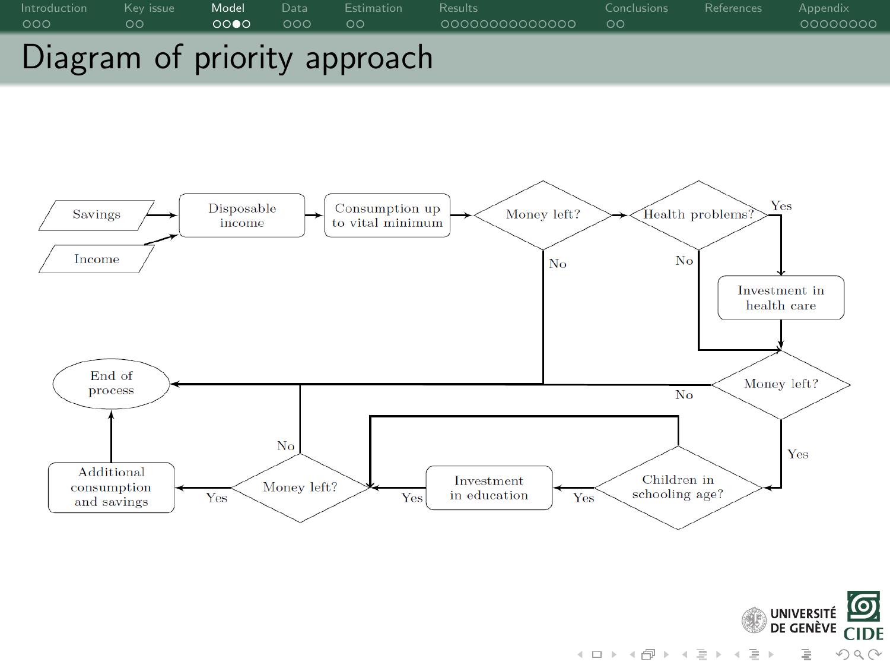





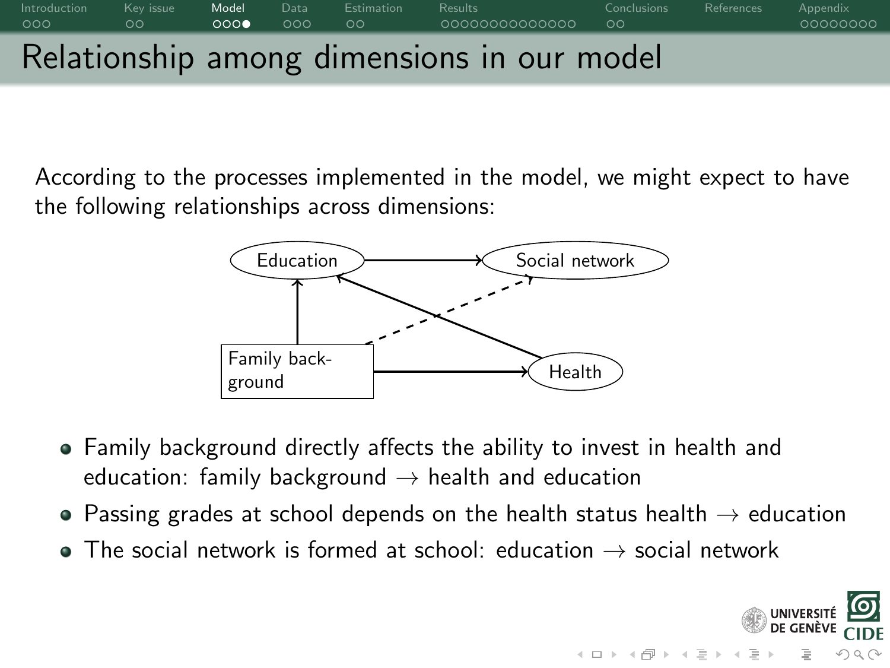# [Introduction](#page-0-0) Key issue **[Model](#page-7-0)** [Data](#page-11-0) [Estimation](#page-14-0) [Results](#page-16-0) [Conclusions](#page-30-0) [References](#page-35-0) [Appendix](#page-36-0) Relationship among dimensions in our model

According to the processes implemented in the model, we might expect to have the following relationships across dimensions:



- Family background directly affects the ability to invest in health and education: family background  $\rightarrow$  health and education
- Passing grades at school depends on the health status health  $\rightarrow$  education

 $\mathcal{A} \equiv \mathcal{F} \times \{ \frac{\partial \mathcal{F}}{\partial \mathcal{F}} \} \times \{ \frac{\partial \mathcal{F}}{\partial \mathcal{F}} \} \times \{ \frac{\partial \mathcal{F}}{\partial \mathcal{F}} \}$ 

 $OQ$ 

 $\bullet$  The social network is formed at school: education  $\rightarrow$  social network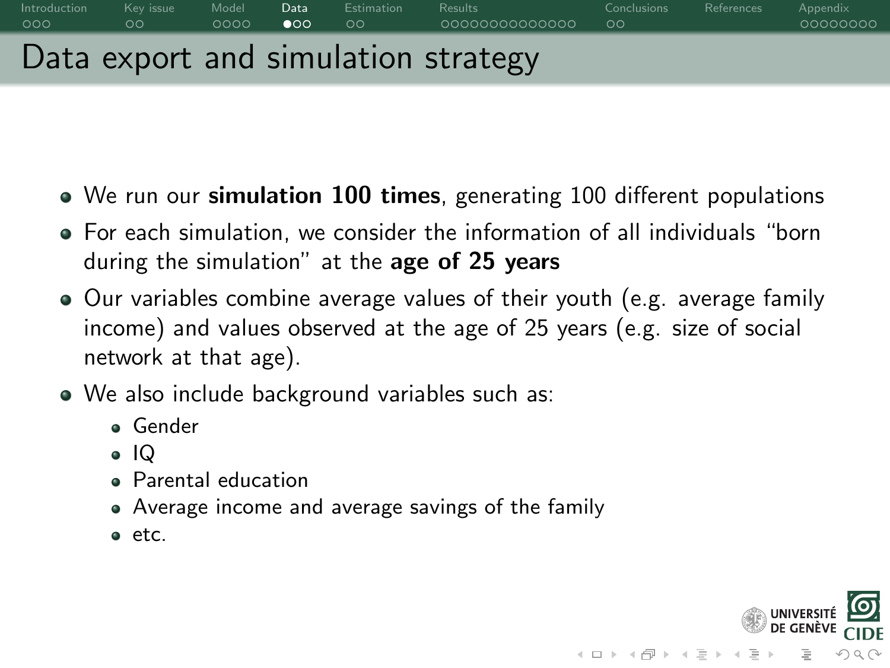# <span id="page-11-0"></span>[Introduction](#page-0-0) Key issue [Model](#page-7-0) **[Data](#page-11-0)** [Estimation](#page-14-0) [Results](#page-16-0) [Conclusions](#page-30-0) [References](#page-35-0) [Appendix](#page-36-0) Data export and simulation strategy

- We run our **simulation 100 times**, generating 100 different populations
- For each simulation, we consider the information of all individuals "born during the simulation" at the age of 25 years
- Our variables combine average values of their youth (e.g. average family income) and values observed at the age of 25 years (e.g. size of social network at that age).
- We also include background variables such as:
	- Gender
	- IQ
	- **•** Parental education
	- Average income and average savings of the family
	- $e$  etc.

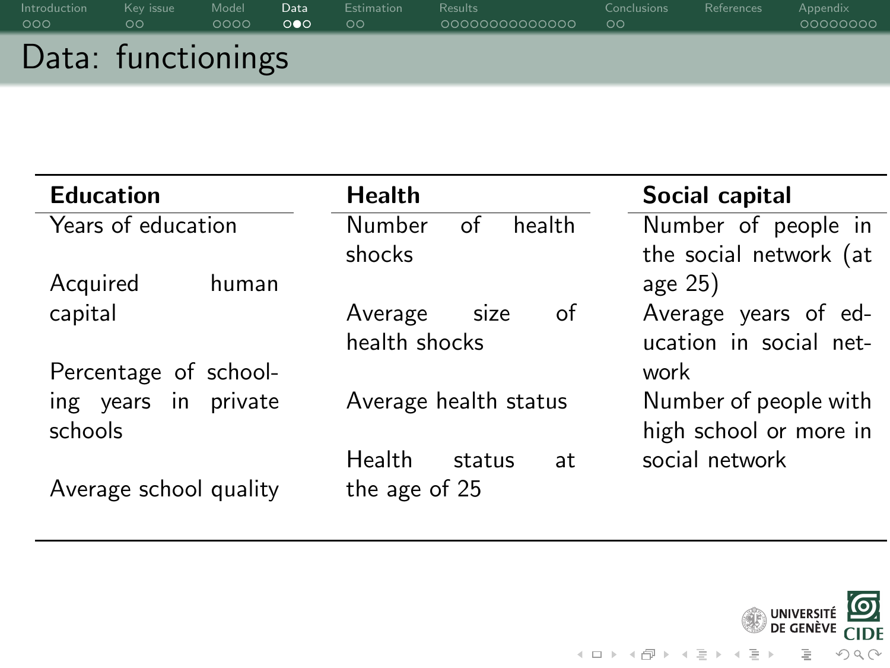| Introduction       | Kev issue | Model | Data | <b>Estimation</b> | <b>Results</b> | Conclusions | References | Appendix |
|--------------------|-----------|-------|------|-------------------|----------------|-------------|------------|----------|
| 000                | $\circ$   | 0000  | ററേ  | ಂ                 | 0000000000000  | $\circ$     |            | 00000000 |
| Data: functionings |           |       |      |                   |                |             |            |          |

| <b>Education</b>       | <b>Health</b>          | Social capital         |
|------------------------|------------------------|------------------------|
| Years of education     | Number<br>health<br>of | Number of people in    |
|                        | shocks                 | the social network (at |
| Acquired<br>human      |                        | age 25)                |
| capital                | of<br>Average<br>size  | Average years of ed-   |
|                        | health shocks          | ucation in social net- |
| Percentage of school-  |                        | work                   |
| ing years in private   | Average health status  | Number of people with  |
| schools                |                        | high school or more in |
|                        | Health<br>status<br>at | social network         |
| Average school quality | the age of 25          |                        |

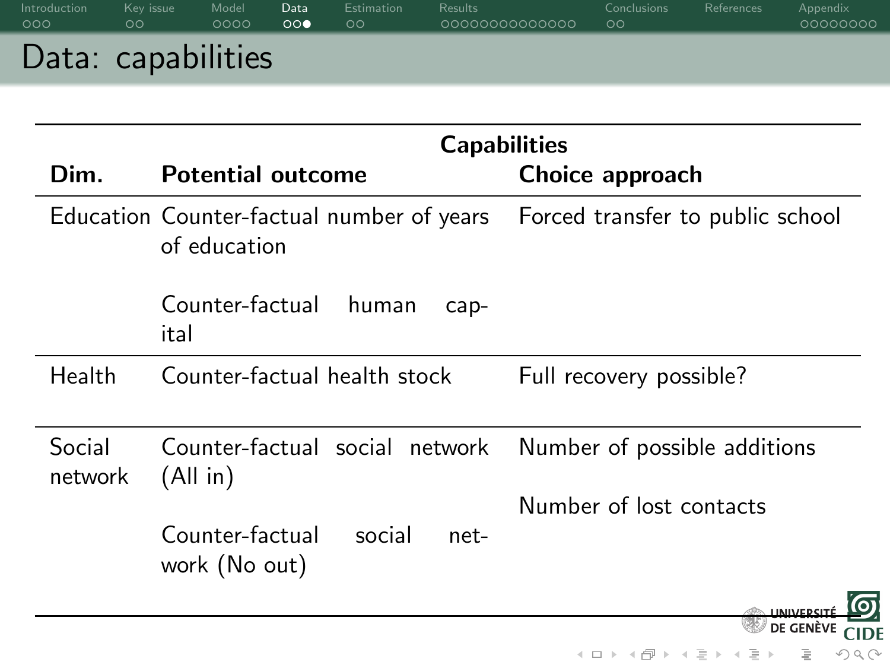| Introduction       | Kev issue     | Model | Data                  | Estimation | <b>Results</b> | Conclusions | References | Appendix |
|--------------------|---------------|-------|-----------------------|------------|----------------|-------------|------------|----------|
| 000                | $\circ \circ$ | 0000  | $\circ \circ \bullet$ | $\circ$    | 0000000000000  | ಂ           |            | 00000000 |
| Data: capabilities |               |       |                       |            |                |             |            |          |

|                   |                                                                                            | <b>Capabilities</b>                                |
|-------------------|--------------------------------------------------------------------------------------------|----------------------------------------------------|
| Dim.              | <b>Potential outcome</b>                                                                   | Choice approach                                    |
|                   | Education Counter-factual number of years Forced transfer to public school<br>of education |                                                    |
|                   | Counter-factual<br>human<br>$cap-$<br>ital                                                 |                                                    |
| Health            | Counter-factual health stock                                                               | Full recovery possible?                            |
| Social<br>network | Counter-factual social network<br>(All in)                                                 | Number of possible additions                       |
|                   |                                                                                            | Number of lost contacts                            |
|                   | Counter-factual<br>social<br>net-<br>work (No out)                                         |                                                    |
|                   |                                                                                            | DE GENÈ\                                           |
|                   |                                                                                            | K ロ ) - K (ラ ) - K (ミ ) - K (ミ ) - ( )<br>$\Omega$ |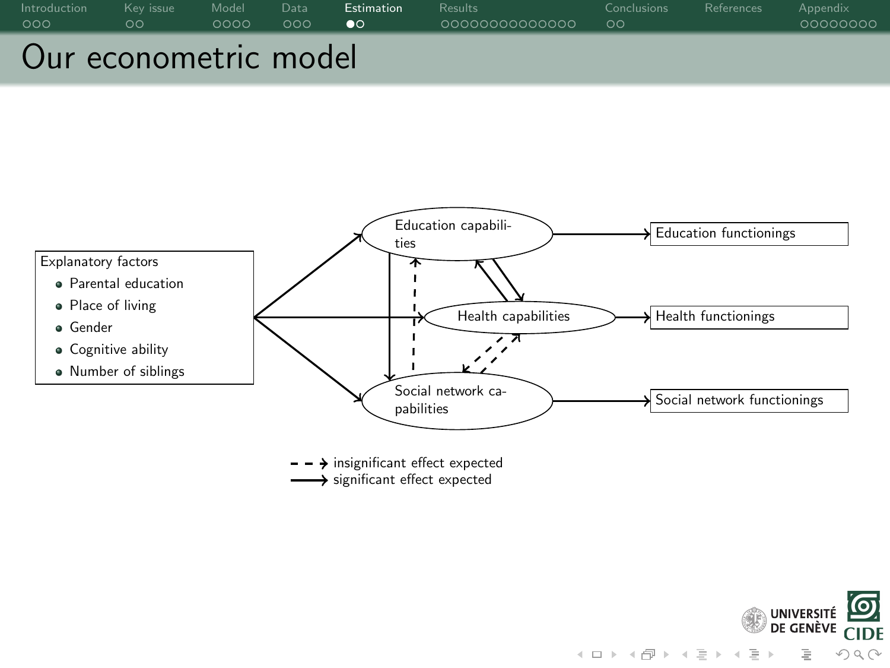<span id="page-14-0"></span>



 $\rightarrow$  significant effect expected  $\rightarrow$  insignificant effect expected

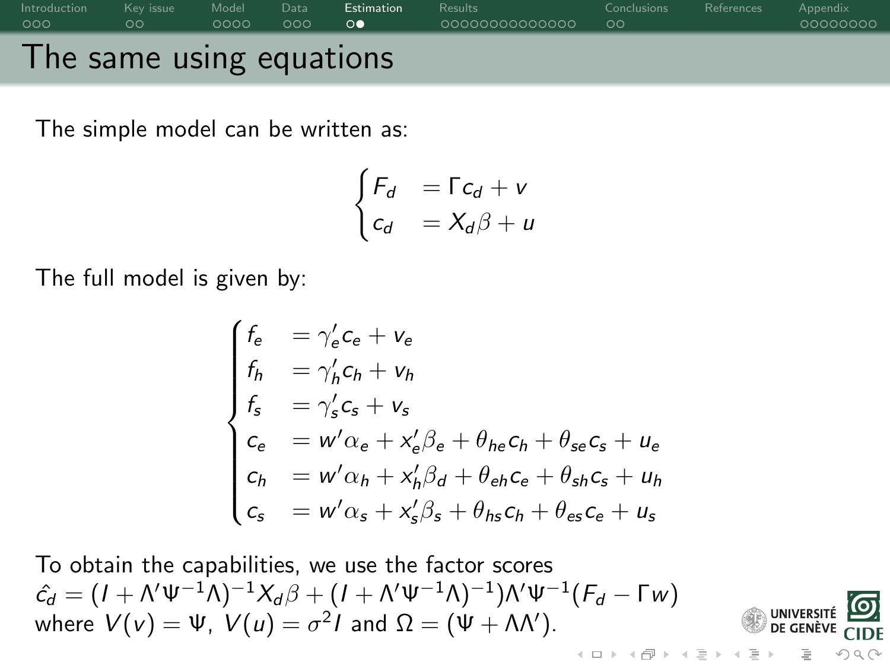

The simple model can be written as:

$$
\begin{cases}\nF_d &= \Gamma c_d + v \\
c_d &= X_d \beta + u\n\end{cases}
$$

The full model is given by:

$$
\begin{cases}\nf_e &= \gamma'_e c_e + v_e \\
f_h &= \gamma'_h c_h + v_h \\
f_s &= \gamma'_s c_s + v_s \\
c_e &= w' \alpha_e + x'_e \beta_e + \theta_{he} c_h + \theta_{se} c_s + u_e \\
c_h &= w' \alpha_h + x'_h \beta_d + \theta_{eh} c_e + \theta_{sh} c_s + u_h \\
c_s &= w' \alpha_s + x'_s \beta_s + \theta_{hs} c_h + \theta_{es} c_e + u_s\n\end{cases}
$$

**UNIVER** DE GENÈV

 $OQ$ 

To obtain the capabilities, we use the factor scores  $\hat{c_d} = (I + \Lambda' \Psi^{-1} \Lambda)^{-1} \chi_d \beta + (I + \Lambda' \Psi^{-1} \Lambda)^{-1}) \Lambda' \Psi^{-1} (F_d - \Gamma W)$ where  $V(v) = \Psi$ ,  $V(u) = \sigma^2 I$  and  $\Omega = (\Psi + \Lambda \Lambda')$ .  $4$  ロト 4 何 ト 4 ヨ ト 4 ヨ ト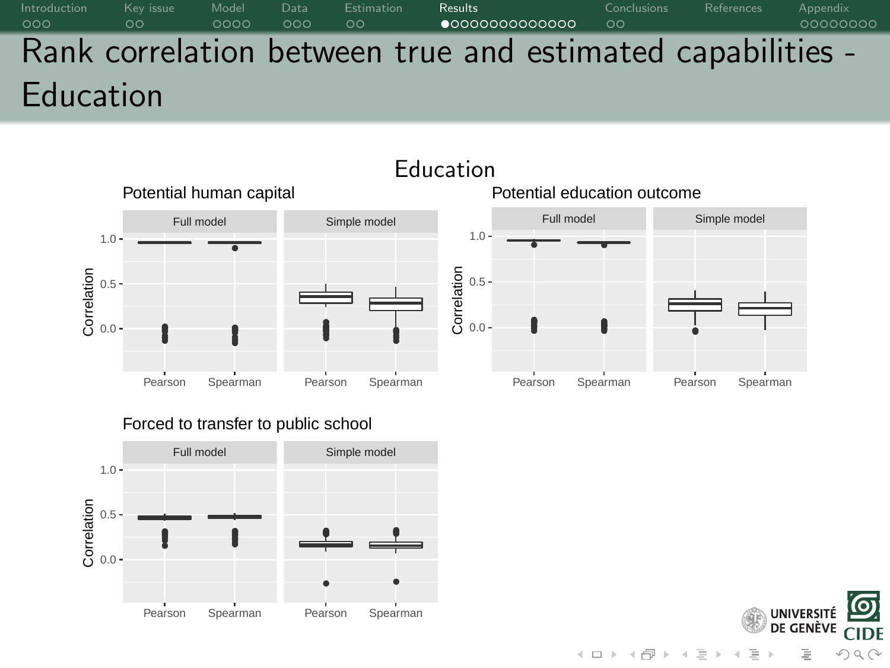<span id="page-16-0"></span>[Introduction](#page-0-0) Keyissue [Model](#page-7-0) [Data](#page-11-0) [Estimation](#page-14-0) **[Results](#page-16-0)** [Conclusions](#page-30-0) [References](#page-35-0) [Appendix](#page-36-0) Rank correlation between true and estimated capabilities - Education



#### Forced to transfer to public school



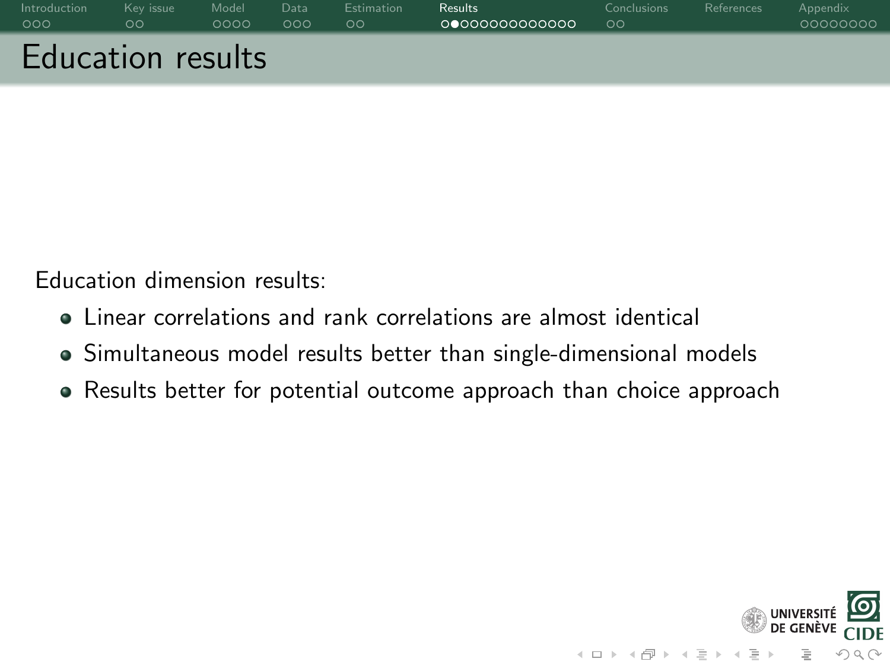| Introduction             | Kev issue | Model | Data | <b>Estimation</b> | <b>Results</b> | <b>Conclusions</b> | References | Appendix |
|--------------------------|-----------|-------|------|-------------------|----------------|--------------------|------------|----------|
| 000                      | oс        | 0000  | 000  | $\circ$           | 00000000000000 | ಂ                  |            | 00000000 |
| <b>Education results</b> |           |       |      |                   |                |                    |            |          |

Education dimension results:

- Linear correlations and rank correlations are almost identical
- Simultaneous model results better than single-dimensional models
- Results better for potential outcome approach than choice approach

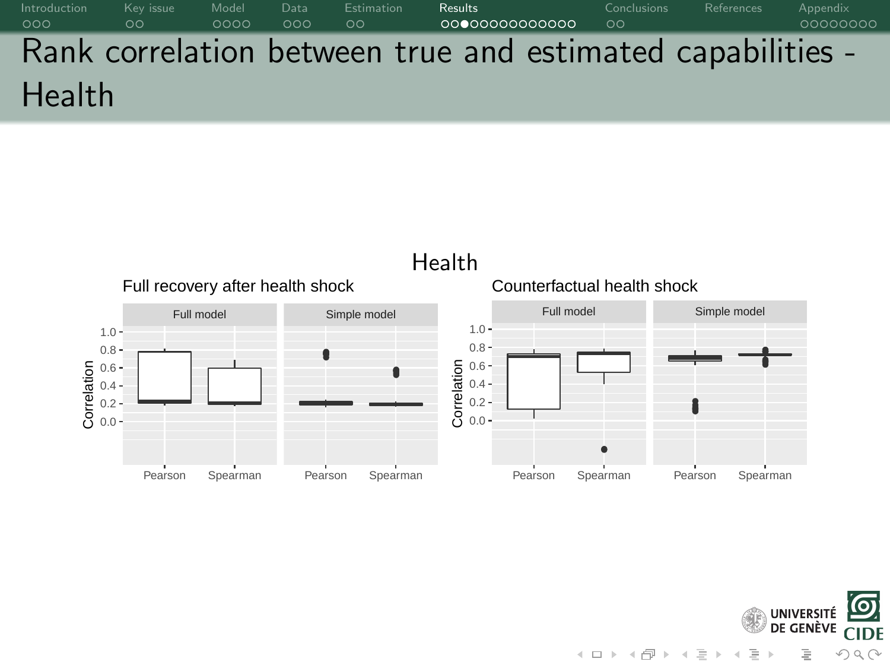[Introduction](#page-0-0) Keyissue [Model](#page-7-0) [Data](#page-11-0) [Estimation](#page-14-0) **[Results](#page-16-0)** [Conclusions](#page-30-0) [References](#page-35-0) [Appendix](#page-36-0) Rank correlation between true and estimated capabilities - Health



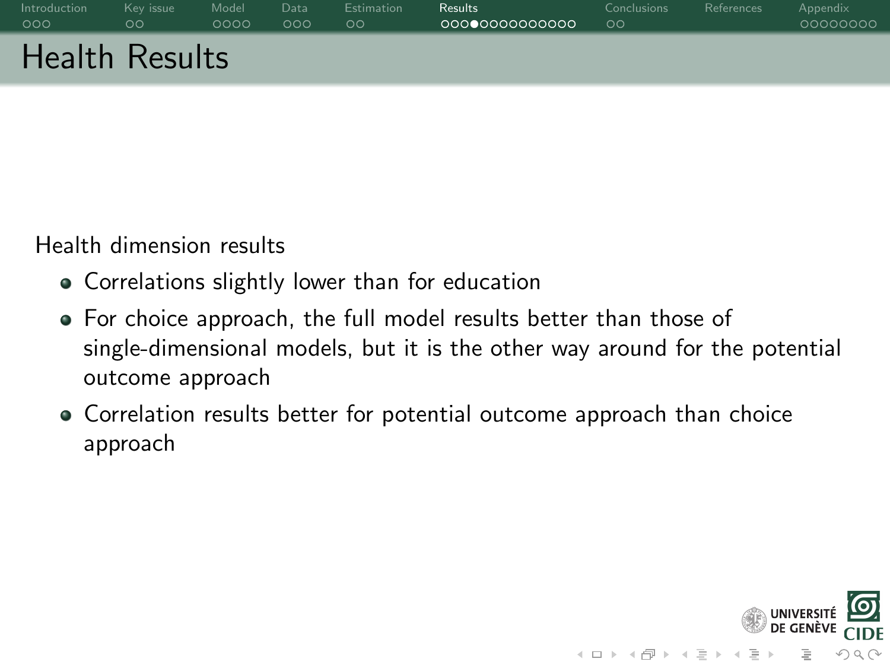| Introduction          | Key issue | Model | Data | <b>Estimation</b> | <b>Results</b> | <b>Conclusions</b> | References | Appendix |
|-----------------------|-----------|-------|------|-------------------|----------------|--------------------|------------|----------|
| 000                   | ಂ         | 0000  | 000  | ಂ                 | 0000000000000  | $\circ$            |            | 00000000 |
| <b>Health Results</b> |           |       |      |                   |                |                    |            |          |

Health dimension results

- Correlations slightly lower than for education
- For choice approach, the full model results better than those of single-dimensional models, but it is the other way around for the potential outcome approach
- Correlation results better for potential outcome approach than choice approach

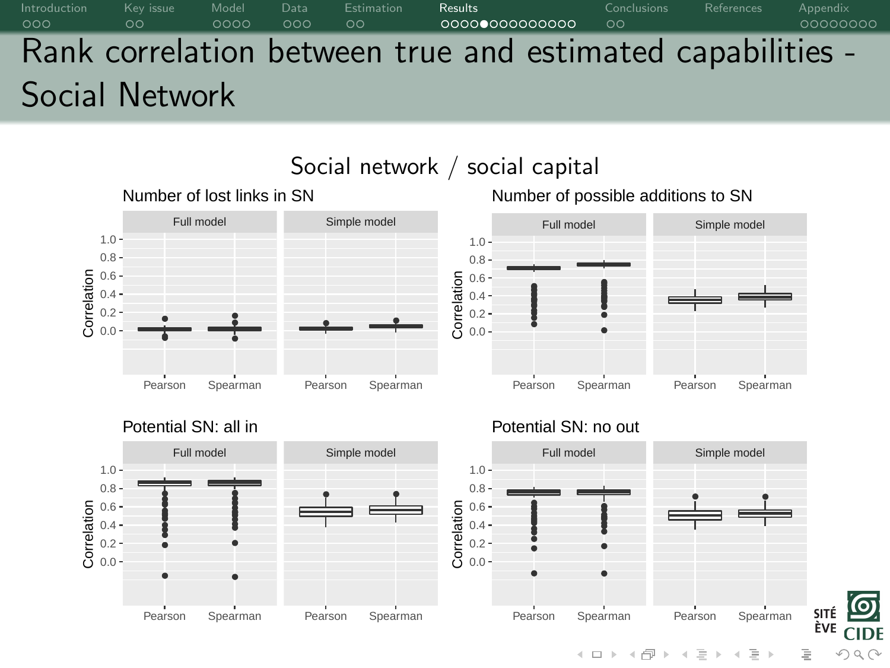# [Introduction](#page-0-0) Keyissue [Model](#page-7-0) [Data](#page-11-0) [Estimation](#page-14-0) **[Results](#page-16-0)** [Conclusions](#page-30-0) [References](#page-35-0) [Appendix](#page-36-0) Rank correlation between true and estimated capabilities - Social Network



SITÉ ÈVE  $CIDF$  $OQ$ 

 $4\ \Box\ \vdash\ A\ \overline{\Box}\ \vdash\ A\ \overline{\equiv}\ \vdash\ A$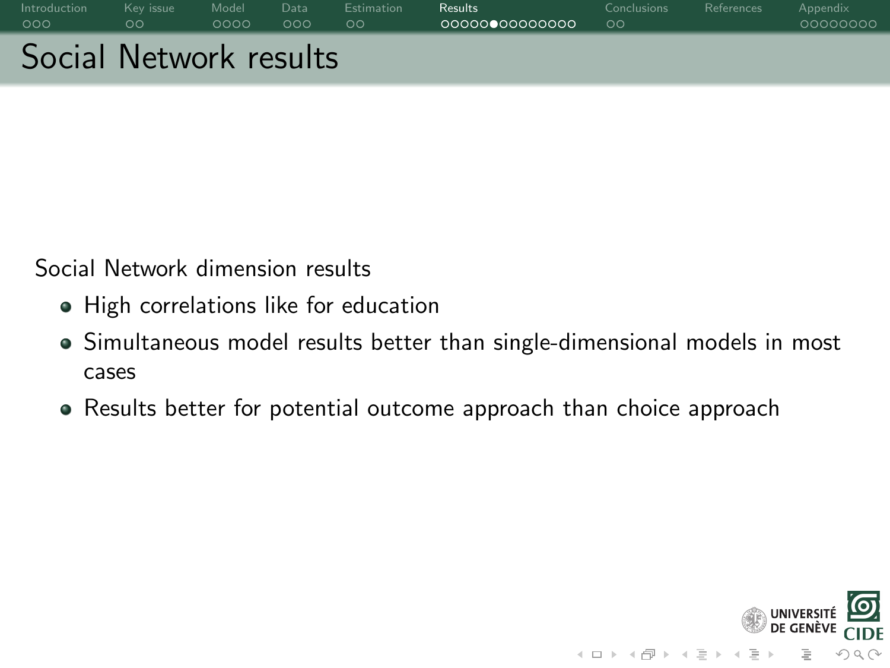| Introduction           | Key issue | Model | Data | <b>Estimation</b> | <b>Results</b> | <b>Conclusions</b> | References | Appendix |
|------------------------|-----------|-------|------|-------------------|----------------|--------------------|------------|----------|
| 000                    | ററ        | ററററ  | ೧೦೦  | $\circ \circ$     | 0000000000000  | $\circ$            |            | 00000000 |
| Social Network results |           |       |      |                   |                |                    |            |          |

Social Network dimension results

- High correlations like for education
- Simultaneous model results better than single-dimensional models in most cases
- Results better for potential outcome approach than choice approach

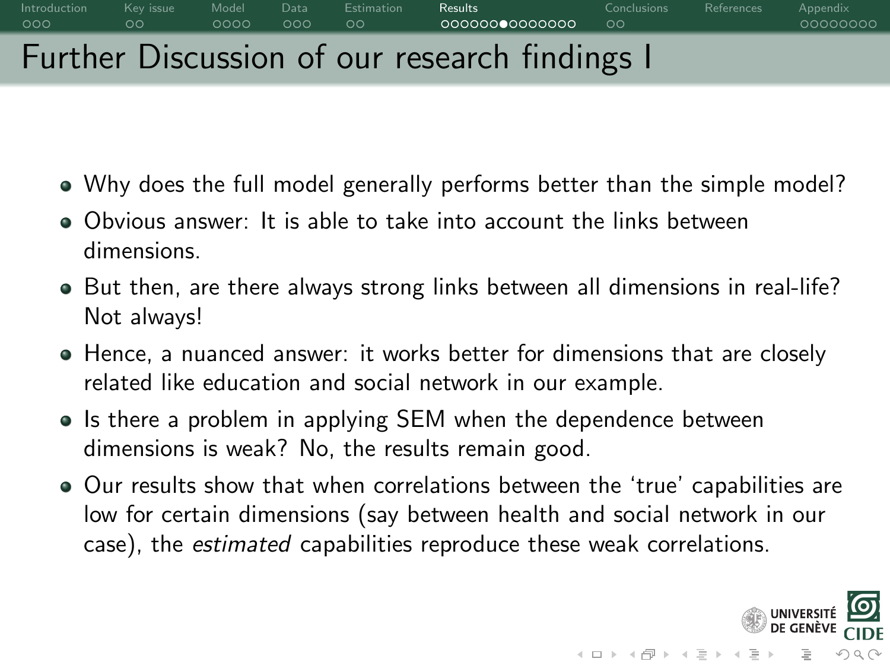## [Introduction](#page-0-0) Keyissue [Model](#page-7-0) [Data](#page-11-0) [Estimation](#page-14-0) **[Results](#page-16-0)** [Conclusions](#page-30-0) [References](#page-35-0) [Appendix](#page-36-0) Further Discussion of our research findings I

- Why does the full model generally performs better than the simple model?
- Obvious answer: It is able to take into account the links between dimensions.
- But then, are there always strong links between all dimensions in real-life? Not always!
- Hence, a nuanced answer: it works better for dimensions that are closely related like education and social network in our example.
- Is there a problem in applying SEM when the dependence between dimensions is weak? No, the results remain good.
- Our results show that when correlations between the 'true' capabilities are low for certain dimensions (say between health and social network in our case), the estimated capabilities reproduce these weak correlations.

 $OQ$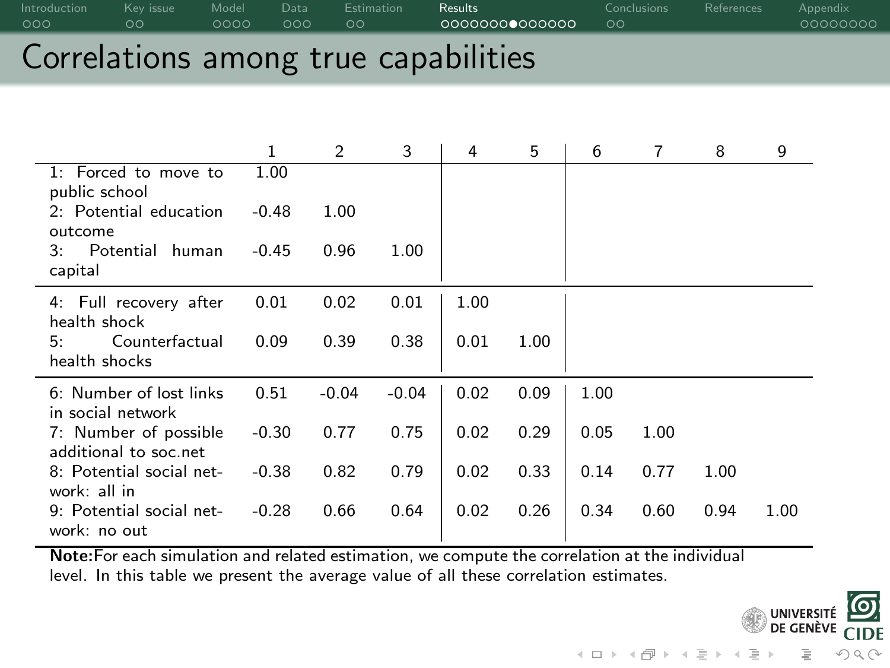| Introduction<br>- റററ | Key issue<br>ററ | Model Data<br>റററെ | _ റററ - ററ | Estimation | Results:<br>00000000000000 | Conclusions<br>- ററ | References Appendix | 00000000 |
|-----------------------|-----------------|--------------------|------------|------------|----------------------------|---------------------|---------------------|----------|
|                       |                 |                    |            |            | .                          |                     |                     |          |

### Correlations among true capabilities

|                                                | 1       | 2       | 3       | 4    | 5    | 6    | 7    | 8    | 9    |
|------------------------------------------------|---------|---------|---------|------|------|------|------|------|------|
| 1: Forced to move to<br>public school          | 1.00    |         |         |      |      |      |      |      |      |
| 2: Potential education<br>outcome              | $-0.48$ | 1.00    |         |      |      |      |      |      |      |
| Potential<br>human<br>3:<br>capital            | $-0.45$ | 0.96    | 1.00    |      |      |      |      |      |      |
|                                                |         |         |         |      |      |      |      |      |      |
| 4: Full recovery after<br>health shock         | 0.01    | 0.02    | 0.01    | 1.00 |      |      |      |      |      |
| Counterfactual<br>5:                           | 0.09    | 0.39    | 0.38    | 0.01 | 1.00 |      |      |      |      |
| health shocks                                  |         |         |         |      |      |      |      |      |      |
| 6: Number of lost links<br>in social network   | 0.51    | $-0.04$ | $-0.04$ | 0.02 | 0.09 | 1.00 |      |      |      |
| 7: Number of possible<br>additional to soc.net | $-0.30$ | 0.77    | 0.75    | 0.02 | 0.29 | 0.05 | 1.00 |      |      |
| 8: Potential social net-<br>work: all in       | $-0.38$ | 0.82    | 0.79    | 0.02 | 0.33 | 0.14 | 0.77 | 1.00 |      |
| 9: Potential social net-<br>work: no out       | $-0.28$ | 0.66    | 0.64    | 0.02 | 0.26 | 0.34 | 0.60 | 0.94 | 1.00 |

Note:For each simulation and related estimation, we compute the correlation at the individual level. In this table we present the average value of all these correlation estimates.

 $\boxed{\odot}$ 

**CIDE** 

 $OQ$ 

**UNIVERSITÉ** DE GENÈVE

 $\equiv$ 

 $\begin{array}{l} 4 \ \square \ \vdash \ 4 \ \overline{\square} \ \vdash \ 4 \ \overline{\square} \ \vdash \ 4 \ \overline{\square} \ \vdash \ 4 \ \overline{\square} \ \vdash \end{array}$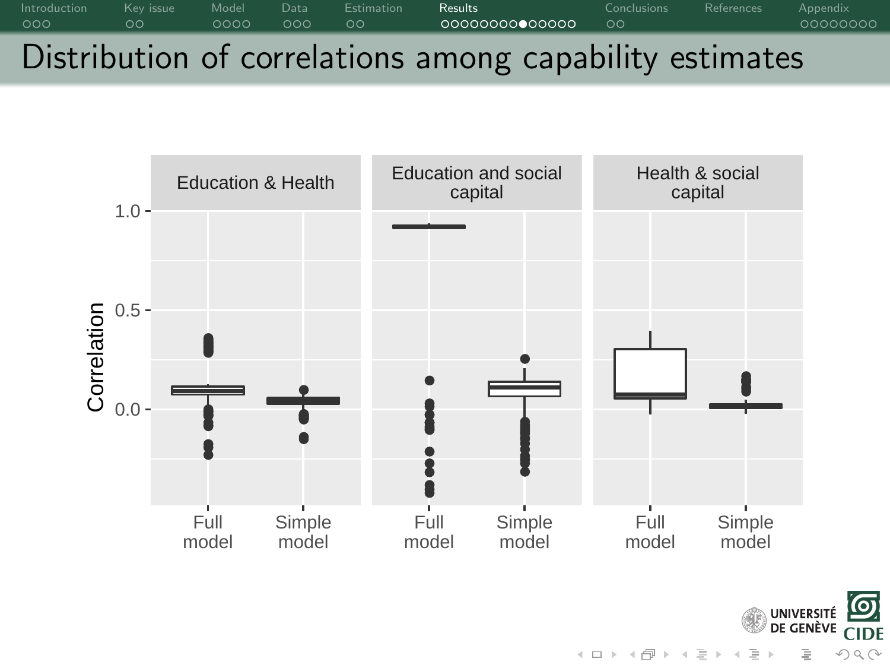



 $4\ \Box\ \rightarrow\ 4\ \overline{f\!\!P}\ \rightarrow\ 4\ \overline{f\!\!P}\ \rightarrow\ 4\ \overline{f\!\!P}$  $OQ$ 

<u>(၀)</u>

**CIDE**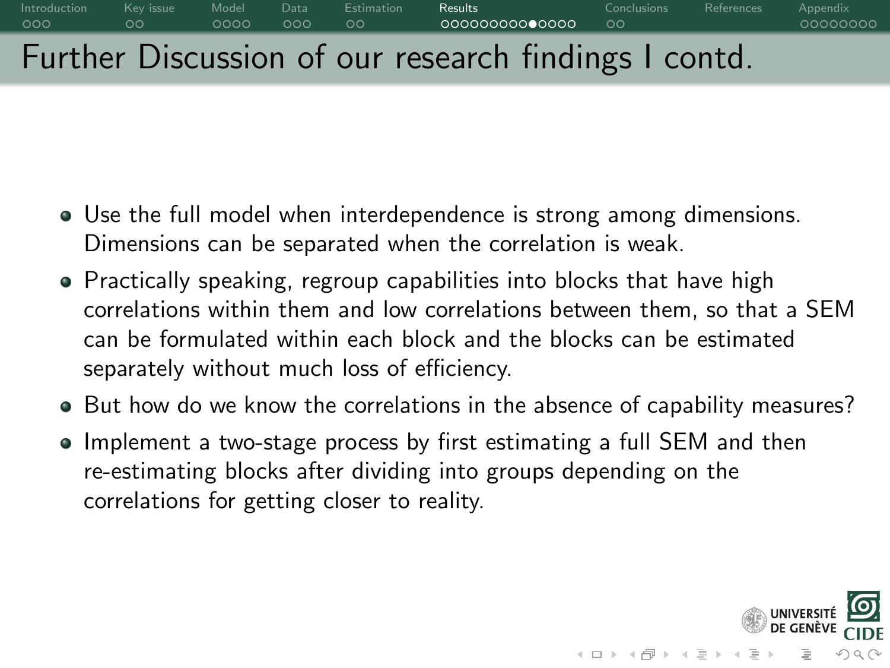# [Introduction](#page-0-0) Keyissue [Model](#page-7-0) [Data](#page-11-0) [Estimation](#page-14-0) **[Results](#page-16-0)** [Conclusions](#page-30-0) [References](#page-35-0) [Appendix](#page-36-0) Further Discussion of our research findings I contd.

- Use the full model when interdependence is strong among dimensions. Dimensions can be separated when the correlation is weak.
- Practically speaking, regroup capabilities into blocks that have high correlations within them and low correlations between them, so that a SEM can be formulated within each block and the blocks can be estimated separately without much loss of efficiency.
- But how do we know the correlations in the absence of capability measures?
- Implement a two-stage process by first estimating a full SEM and then re-estimating blocks after dividing into groups depending on the correlations for getting closer to reality.

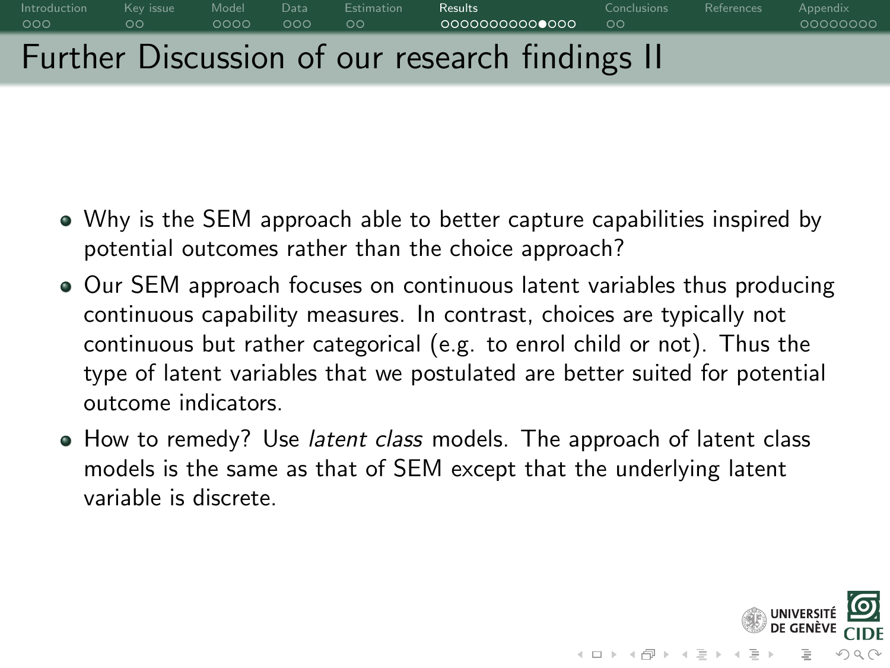# [Introduction](#page-0-0) Keyissue [Model](#page-7-0) [Data](#page-11-0) [Estimation](#page-14-0) **[Results](#page-16-0)** [Conclusions](#page-30-0) [References](#page-35-0) [Appendix](#page-36-0) Further Discussion of our research findings II

- Why is the SEM approach able to better capture capabilities inspired by potential outcomes rather than the choice approach?
- Our SEM approach focuses on continuous latent variables thus producing continuous capability measures. In contrast, choices are typically not continuous but rather categorical (e.g. to enrol child or not). Thus the type of latent variables that we postulated are better suited for potential outcome indicators.
- How to remedy? Use *latent class* models. The approach of latent class models is the same as that of SEM except that the underlying latent variable is discrete.

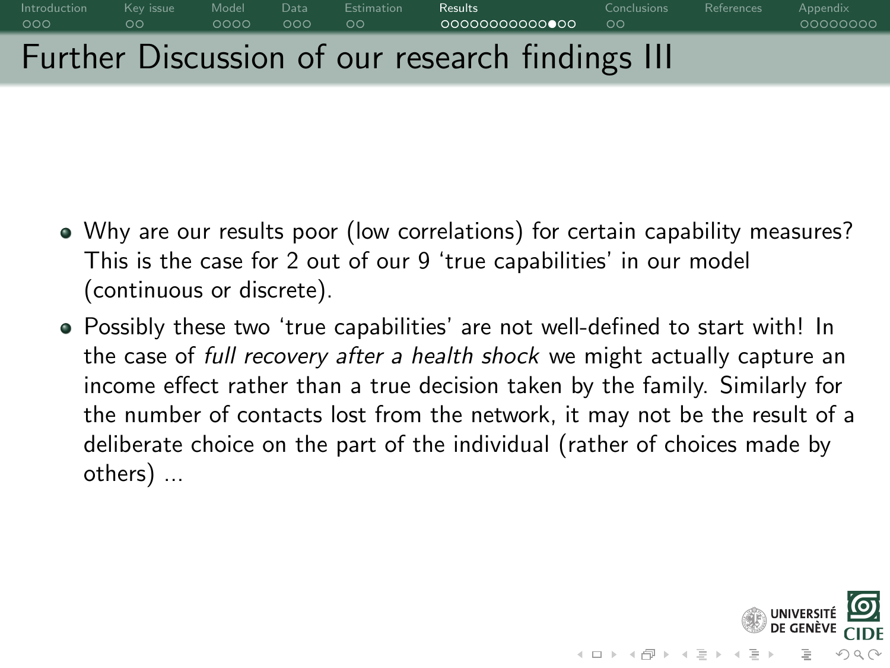

- Why are our results poor (low correlations) for certain capability measures? This is the case for 2 out of our 9 'true capabilities' in our model (continuous or discrete).
- Possibly these two 'true capabilities' are not well-defined to start with! In the case of full recovery after a health shock we might actually capture an income effect rather than a true decision taken by the family. Similarly for the number of contacts lost from the network, it may not be the result of a deliberate choice on the part of the individual (rather of choices made by others) ...

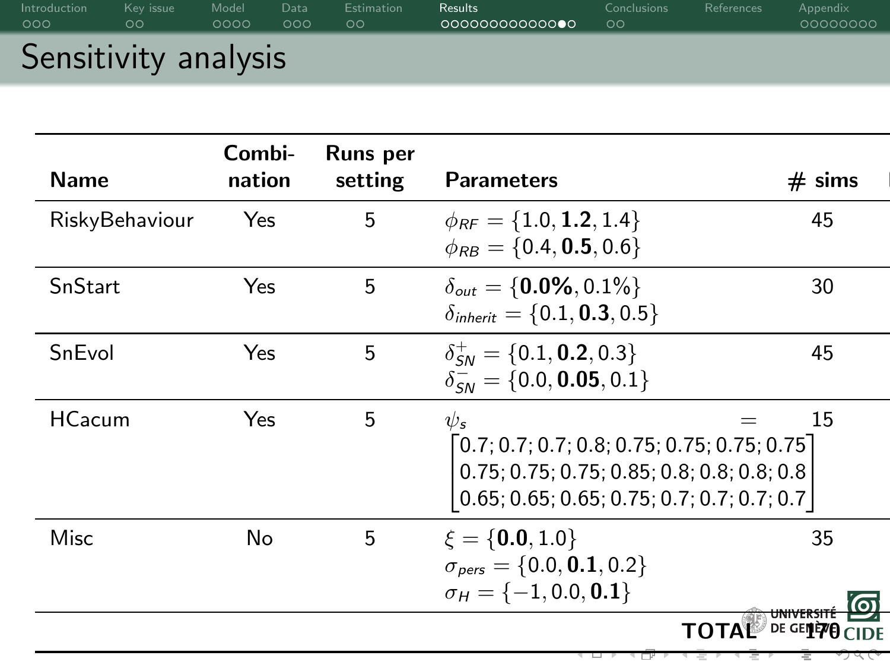| Introduction         | Key issue     | Model | Data | <b>Estimation</b> | <b>Results</b> | <b>Conclusions</b> | References | Appendix |
|----------------------|---------------|-------|------|-------------------|----------------|--------------------|------------|----------|
| 000                  | $\circ \circ$ | 0000  | 000  | ಂ                 | 00000000000000 | $\circ$            |            | 00000000 |
| Sensitivity analysis |               |       |      |                   |                |                    |            |          |

| <b>Name</b>    | Combi-<br>nation | Runs per<br>setting | <b>Parameters</b>                                                                                                                                                 | $# \, \text{sim}$ s |
|----------------|------------------|---------------------|-------------------------------------------------------------------------------------------------------------------------------------------------------------------|---------------------|
| RiskyBehaviour | Yes              | 5                   | $\phi_{RF} = \{1.0, 1.2, 1.4\}$<br>$\phi_{RB} = \{0.4, 0.5, 0.6\}$                                                                                                | 45                  |
| SnStart        | Yes              | 5                   | $\delta_{out} = \{0.0\%, 0.1\%\}$<br>$\delta_{\text{inherit}} = \{0.1, 0.3, 0.5\}$                                                                                | 30                  |
| SnEvol         | Yes              | 5                   | $\delta_{\text{SM}}^+ = \{0.1, 0.2, 0.3\}$<br>$\delta_{\text{SM}}^- = \{0.0, 0.05, 0.1\}$                                                                         | 45                  |
| <b>HCacum</b>  | Yes              | 5                   | $\psi_{\rm s}$<br>$\lceil0.7;0.7;0.7;0.8;0.75;0.75;0.75;0.75\rceil$<br>0.75; 0.75; 0.75; 0.85; 0.8; 0.8; 0.8; 0.8<br>$0.65; 0.65; 0.65; 0.75; 0.7; 0.7; 0.7; 0.7$ | 15                  |
| Misc           | No               | 5                   | $\xi = \{0.0, 1.0\}$<br>$\sigma_{pers} = \{0.0, 0.1, 0.2\}$<br>$\sigma_H = \{-1, 0.0, 0.1\}$                                                                      | 35                  |
|                |                  |                     |                                                                                                                                                                   | DE GENEVA<br>TOTAL  |
|                |                  |                     |                                                                                                                                                                   |                     |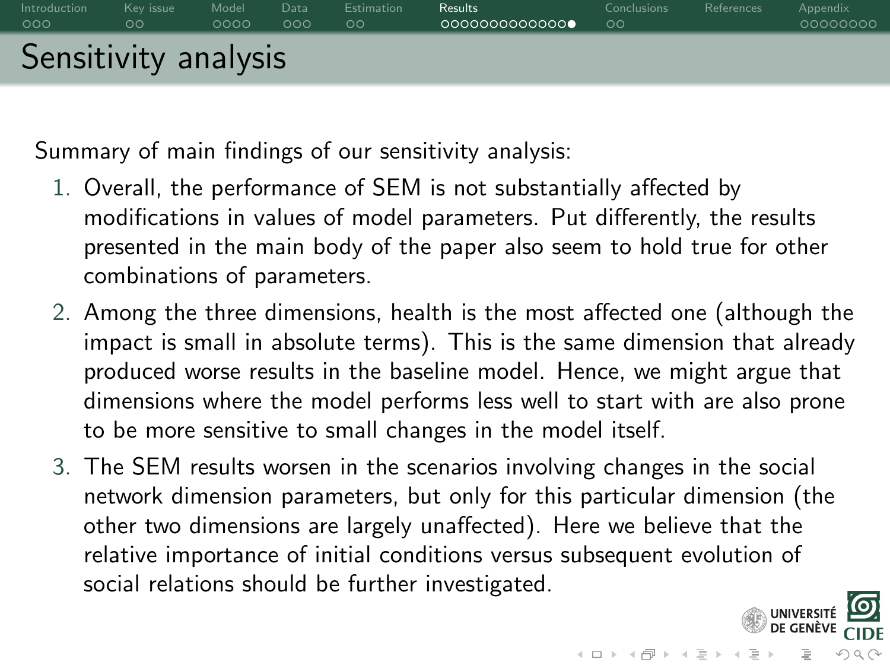

Summary of main findings of our sensitivity analysis:

- 1. Overall, the performance of SEM is not substantially affected by modifications in values of model parameters. Put differently, the results presented in the main body of the paper also seem to hold true for other combinations of parameters.
- 2. Among the three dimensions, health is the most affected one (although the impact is small in absolute terms). This is the same dimension that already produced worse results in the baseline model. Hence, we might argue that dimensions where the model performs less well to start with are also prone to be more sensitive to small changes in the model itself.
- 3. The SEM results worsen in the scenarios involving changes in the social network dimension parameters, but only for this particular dimension (the other two dimensions are largely unaffected). Here we believe that the relative importance of initial conditions versus subsequent evolution of social relations should be further investigated.

つくい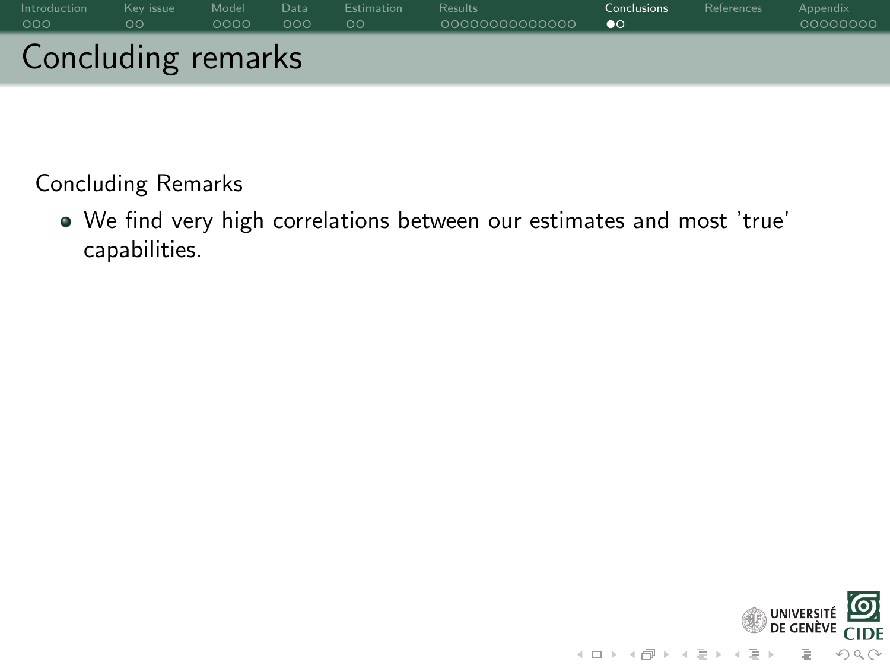<span id="page-30-0"></span>

| Introduction       | Kev issue | Model | Data | <b>Estimation</b> | <b>Results</b> | <b>Conclusions</b> | References | Appendix |
|--------------------|-----------|-------|------|-------------------|----------------|--------------------|------------|----------|
| 000                | $\circ$   | 0000  | 000  | $\circ \circ$     | 0000000000000  | $\bullet$          |            | 00000000 |
| Concluding remarks |           |       |      |                   |                |                    |            |          |

We find very high correlations between our estimates and most 'true' capabilities.

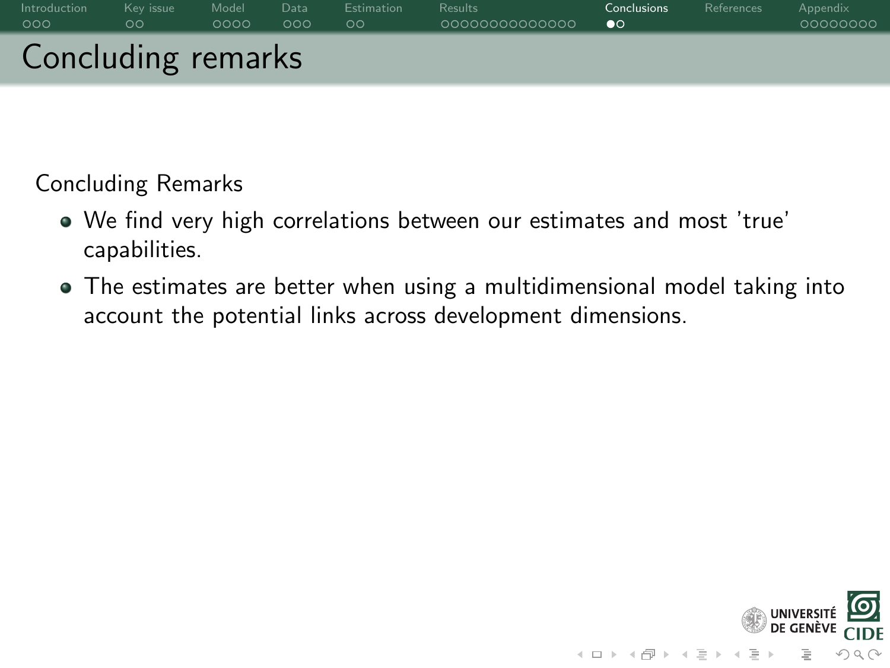| Introduction       | Kev issue | Model | Data | Estimation | <b>Results</b> | Conclusions | References | Appendix |
|--------------------|-----------|-------|------|------------|----------------|-------------|------------|----------|
| 000                | ಂ         | 0000  | 000  | $\circ$    | 0000000000000  | $\bullet$   |            | 00000000 |
| Concluding remarks |           |       |      |            |                |             |            |          |

- We find very high correlations between our estimates and most 'true' capabilities.
- The estimates are better when using a multidimensional model taking into account the potential links across development dimensions.

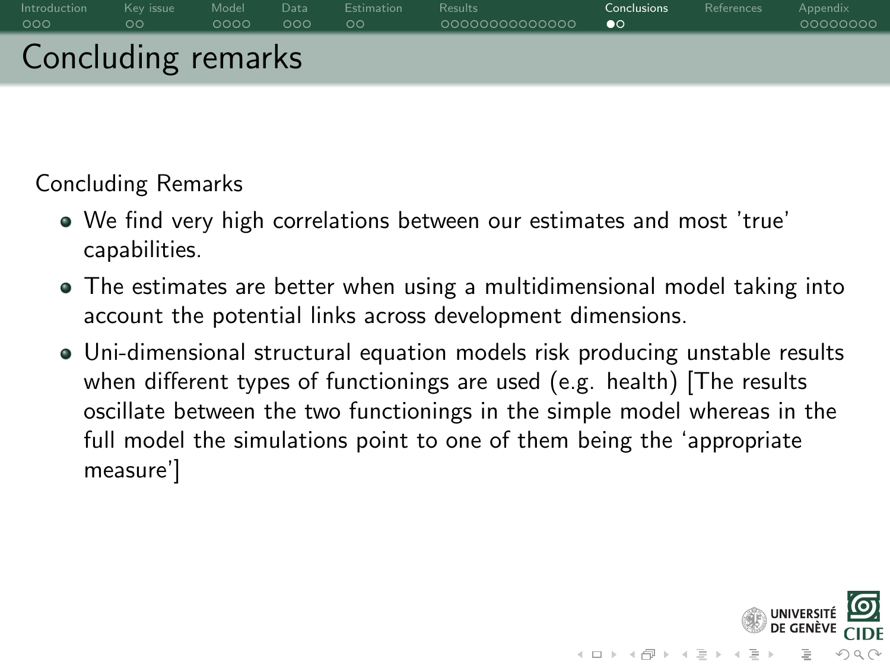

- We find very high correlations between our estimates and most 'true' capabilities.
- The estimates are better when using a multidimensional model taking into account the potential links across development dimensions.
- Uni-dimensional structural equation models risk producing unstable results when different types of functionings are used (e.g. health) [The results oscillate between the two functionings in the simple model whereas in the full model the simulations point to one of them being the 'appropriate measure']

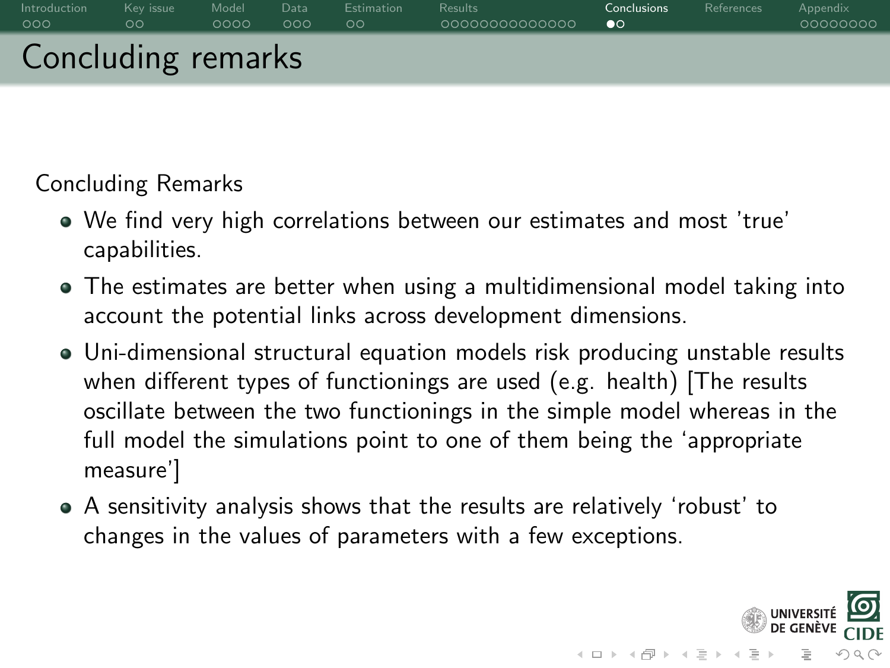

- We find very high correlations between our estimates and most 'true' capabilities.
- The estimates are better when using a multidimensional model taking into account the potential links across development dimensions.
- Uni-dimensional structural equation models risk producing unstable results when different types of functionings are used (e.g. health) [The results oscillate between the two functionings in the simple model whereas in the full model the simulations point to one of them being the 'appropriate measure']
- A sensitivity analysis shows that the results are relatively 'robust' to changes in the values of parameters with a few exceptions.

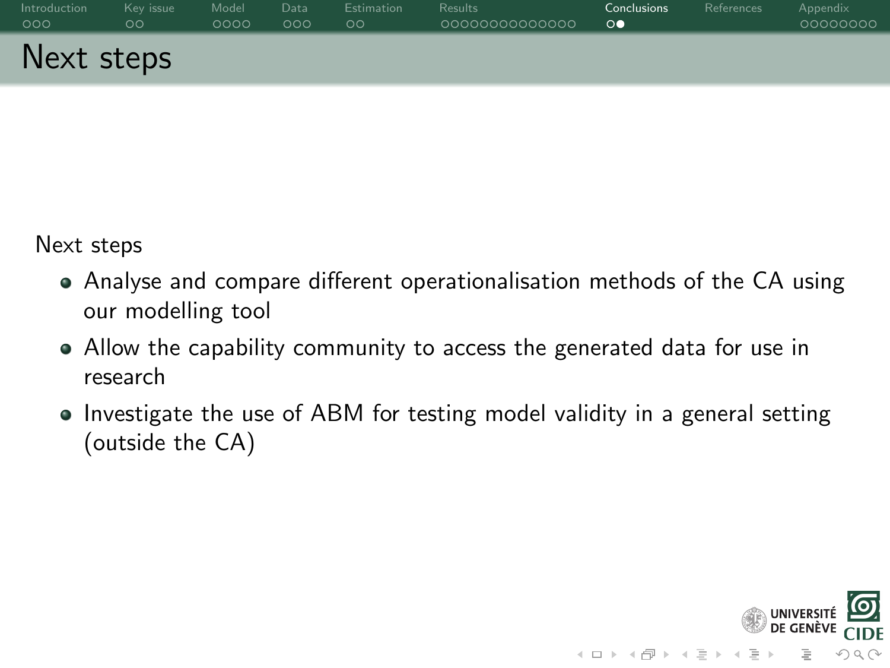| Introduction | Kev issue     | Model | Data | Estimation | <b>Results</b> | Conclusions    | References | Appendix |
|--------------|---------------|-------|------|------------|----------------|----------------|------------|----------|
| 000          | $\circ \circ$ | 0000  | 000  | ಂ          | 0000000000000  | $\circ\bullet$ |            | 00000000 |
| Next steps   |               |       |      |            |                |                |            |          |

Next steps

- Analyse and compare different operationalisation methods of the CA using our modelling tool
- Allow the capability community to access the generated data for use in research
- Investigate the use of ABM for testing model validity in a general setting (outside the CA)

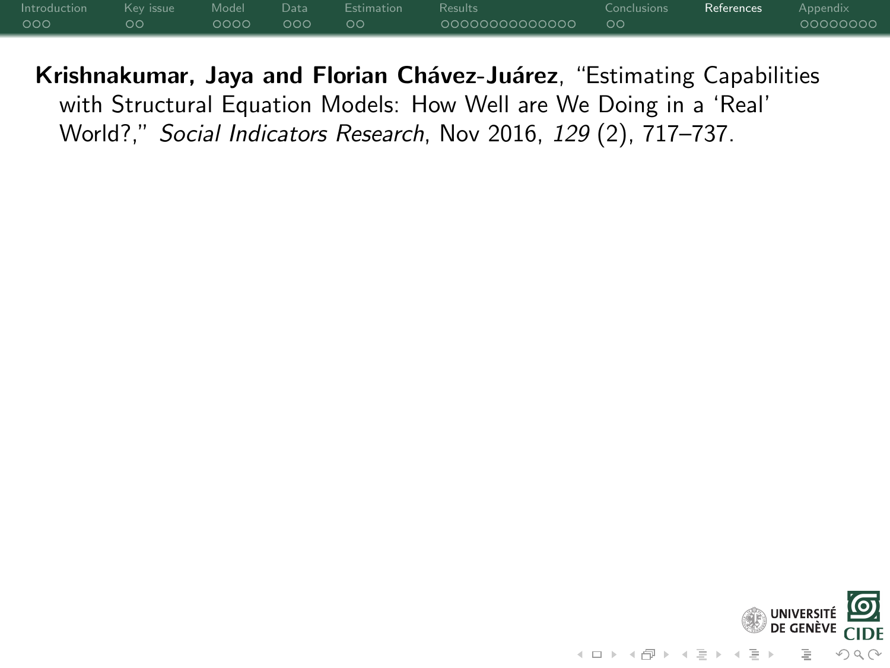<span id="page-35-0"></span>

| Introduction |    |            | Kevissue Model Data Estimation Results |                   | Conclusions | <b>References</b> Appendix |          |
|--------------|----|------------|----------------------------------------|-------------------|-------------|----------------------------|----------|
| 000          | oо | $0000$ 000 | ം ററ                                   | 00000000000000 00 |             |                            | 00000000 |

<span id="page-35-1"></span>Krishnakumar, Jaya and Florian Chávez-Juárez, "Estimating Capabilities with Structural Equation Models: How Well are We Doing in a 'Real' World?," Social Indicators Research, Nov 2016, 129 (2), 717–737.

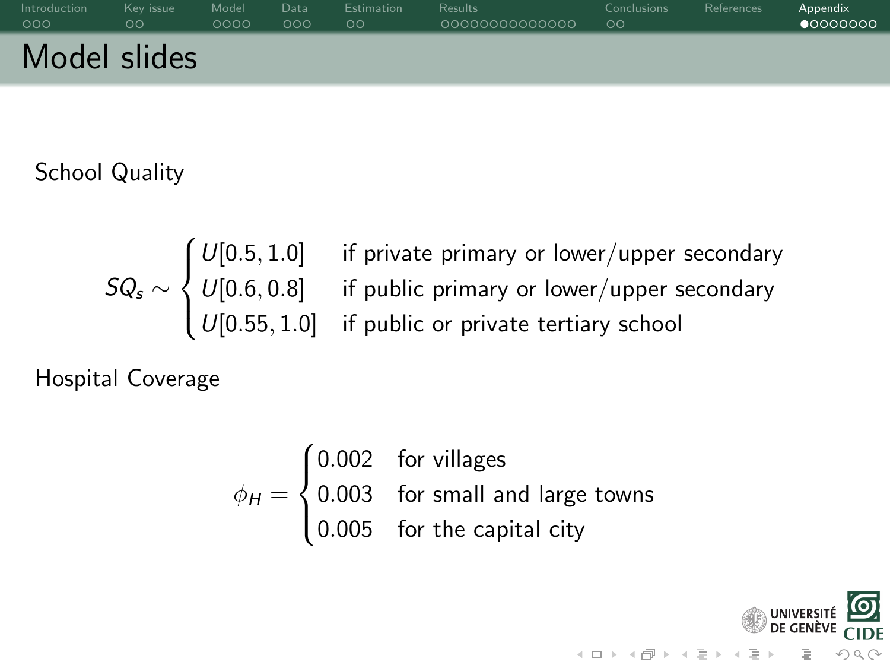<span id="page-36-0"></span>

| Introduction | Kev issue | Model | Data | <b>Estimation</b> | <b>Results</b> | <b>Conclusions</b> | References | Appendix          |
|--------------|-----------|-------|------|-------------------|----------------|--------------------|------------|-------------------|
| 000          | ಂ         | 0000  | 000  | ಂ                 | 0000000000000  | $\circ$            |            | $\bullet$ 0000000 |
| Model slides |           |       |      |                   |                |                    |            |                   |

School Quality

$$
SQ_s \sim \begin{cases} U[0.5, 1.0] & \text{if private primary or lower/upper secondary} \\ U[0.6, 0.8] & \text{if public primary or lower/upper secondary} \\ U[0.55, 1.0] & \text{if public or private tertiary school} \end{cases}
$$

Hospital Coverage

$$
\phi_H = \begin{cases}\n0.002 & \text{for villages} \\
0.003 & \text{for small and large towns} \\
0.005 & \text{for the capital city}\n\end{cases}
$$

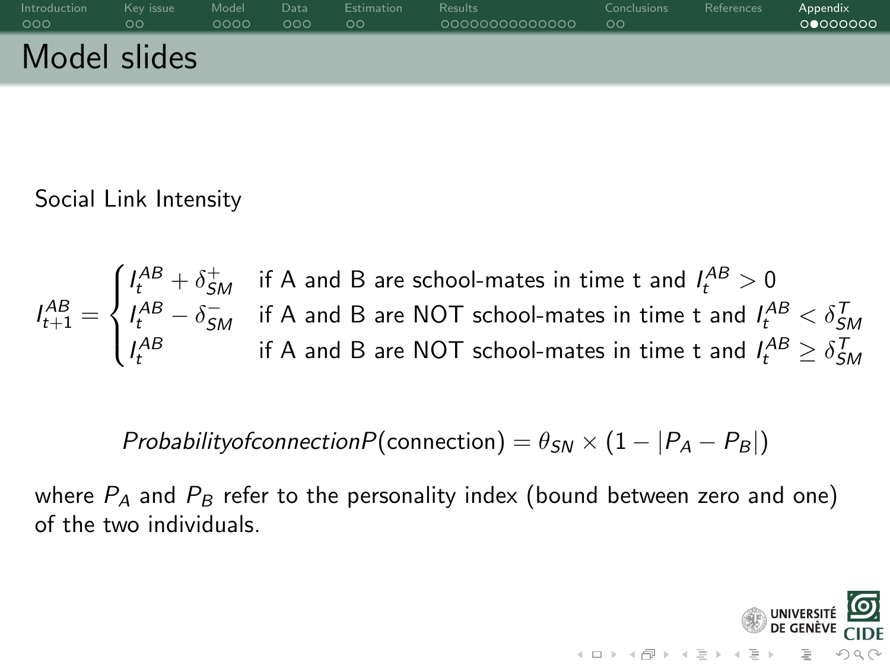

Social Link Intensity

$$
I_{t+1}^{AB} = \begin{cases} I_t^{AB} + \delta_{SM}^+ & \text{if A and B are school-mates in time t and } I_t^{AB} > 0\\ I_t^{AB} - \delta_{SM}^- & \text{if A and B are NOT school-mates in time t and } I_t^{AB} < \delta_{SM}^T\\ I_t^{AB} & \text{if A and B are NOT school-mates in time t and } I_t^{AB} \ge \delta_{SM}^T \end{cases}
$$

ProbabilityofconnectionP(connection) =  $\theta_{SN} \times (1 - |P_A - P_B|)$ 

where  $P_A$  and  $P_B$  refer to the personality index (bound between zero and one) of the two individuals.

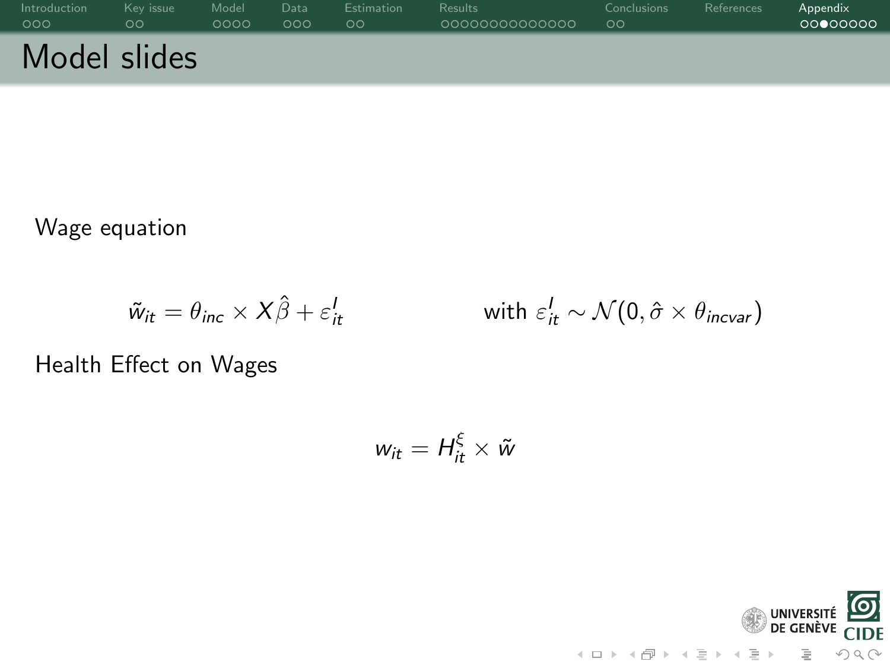| Introduction | Kev issue | Model | Data | <b>Estimation</b> | <b>Results</b> | Conclusions | References | Appendix |
|--------------|-----------|-------|------|-------------------|----------------|-------------|------------|----------|
| 000          | ಂ         | 0000  | 000  | ಂ                 | 0000000000000  | $\circ$     |            | 00000000 |
| Model slides |           |       |      |                   |                |             |            |          |

Wage equation

$$
\tilde{w}_{it} = \theta_{inc} \times X\hat{\beta} + \varepsilon_{it}^I \qquad \qquad \text{with } \varepsilon_{it}^I \sim \mathcal{N}(0, \hat{\sigma} \times \theta_{incvar})
$$

Health Effect on Wages

$$
w_{it}=H_{it}^{\xi}\times\tilde{w}
$$

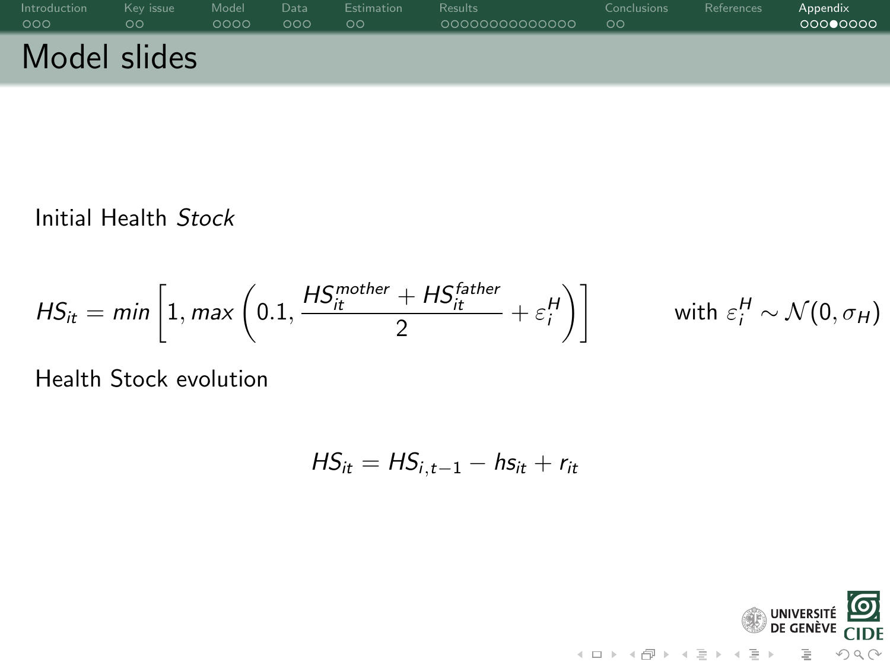| Introduction | Kev issue | Model | Data | <b>Estimation</b> | <b>Results</b> | <b>Conclusions</b> | References | Appendix |
|--------------|-----------|-------|------|-------------------|----------------|--------------------|------------|----------|
| 000          | ಂ         | 0000  | 000  | ಂ                 | 0000000000000  | $\circ$            |            | 00000000 |
| Model slides |           |       |      |                   |                |                    |            |          |

Initial Health Stock

$$
HS_{it} = min\left[1, max\left(0.1, \frac{HS_{it}^{mother} + HS_{it}^{father}}{2} + \varepsilon_i^H\right)\right] \qquad \text{with } \varepsilon_i^H \sim \mathcal{N}(0, \sigma_H)
$$

Health Stock evolution

$$
H S_{it} = H S_{i,t-1} - h s_{it} + r_{it}
$$

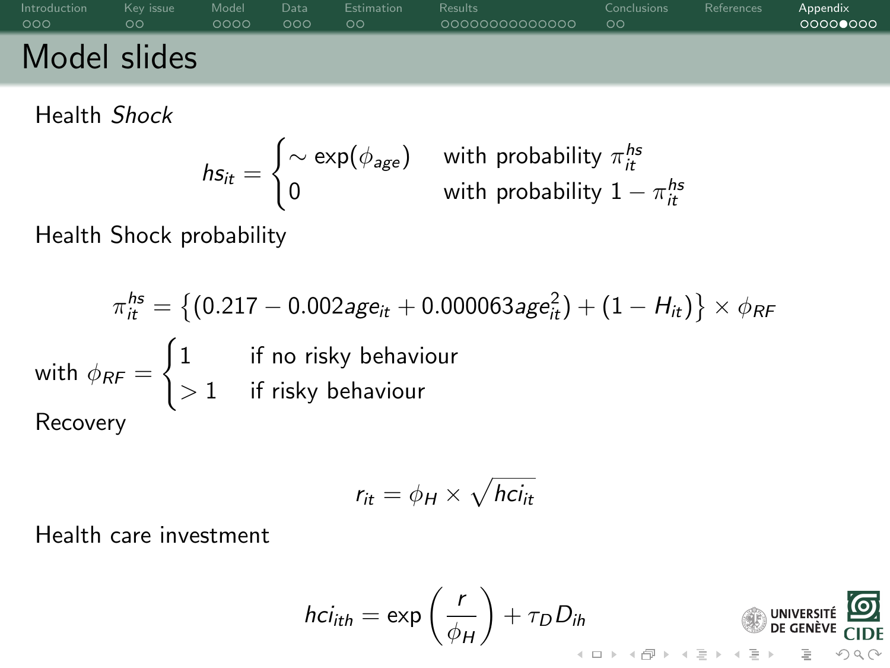

Health Shock

$$
hs_{it} = \begin{cases} \sim \exp(\phi_{age}) & \text{with probability } \pi_{it}^{hs} \\ 0 & \text{with probability } 1 - \pi_{it}^{hs} \end{cases}
$$

Health Shock probability

$$
\pi_{it}^{hs} = \left\{ (0.217 - 0.002age_{it} + 0.000063age_{it}^2) + (1 - H_{it}) \right\} \times \phi_{RF}
$$
\nwith  $\phi_{RF} = \begin{cases} 1 & \text{if no risky behaviour} \\ > 1 & \text{if risky behaviour} \end{cases}$ \n\nRecovery

$$
r_{it} = \phi_H \times \sqrt{hc_{it}}
$$

Health care investment

$$
hci_{ith} = \exp\left(\frac{r}{\phi_H}\right) + \tau_D D_{ih}
$$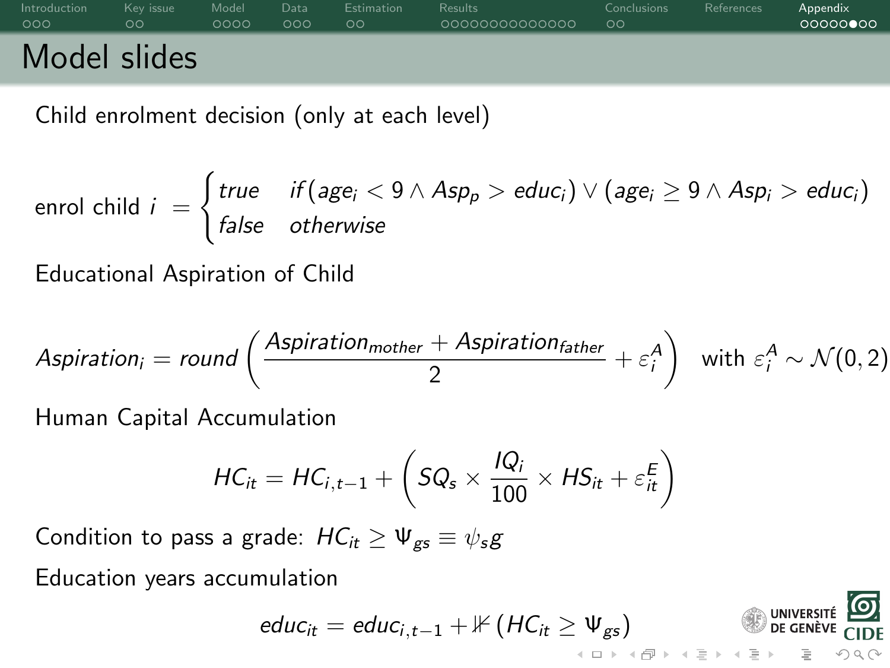# [Introduction](#page-0-0) Key issue [Model](#page-7-0) [Data](#page-11-0) [Estimation](#page-14-0) [Results](#page-16-0) [Conclusions](#page-30-0) [References](#page-35-0) A<mark>ppendi</mark>x Model slides

Child enrolment decision (only at each level)

$$
\text{enrol child } i = \begin{cases} \text{true} & \text{if } (\text{age}_i < 9 \land \text{Asp}_p > \text{educ}_i) \lor (\text{age}_i \geq 9 \land \text{Asp}_i > \text{educ}_i) \\ \text{false} & \text{otherwise} \end{cases}
$$

Educational Aspiration of Child

$$
\text{Aspiration}_{i} = \text{round}\left(\frac{\text{Aspiration}_{\text{mother}} + \text{Aspiration}_{\text{father}}}{2} + \varepsilon_i^A\right) \text{ with } \varepsilon_i^A \sim \mathcal{N}(0, 2)
$$

Human Capital Accumulation

$$
HC_{it} = HC_{i,t-1} + \left(SQ_s \times \frac{IQ_i}{100} \times HS_{it} + \varepsilon_{it}^E\right)
$$

Condition to pass a grade:  $HC_{it} \geq \Psi_{gs} \equiv \psi_s g$ 

Education years accumulation

$$
educ_{it} = educ_{i,t-1} + \mathbb{1} \left(HC_{it} \geq \Psi_{gs}\right)
$$

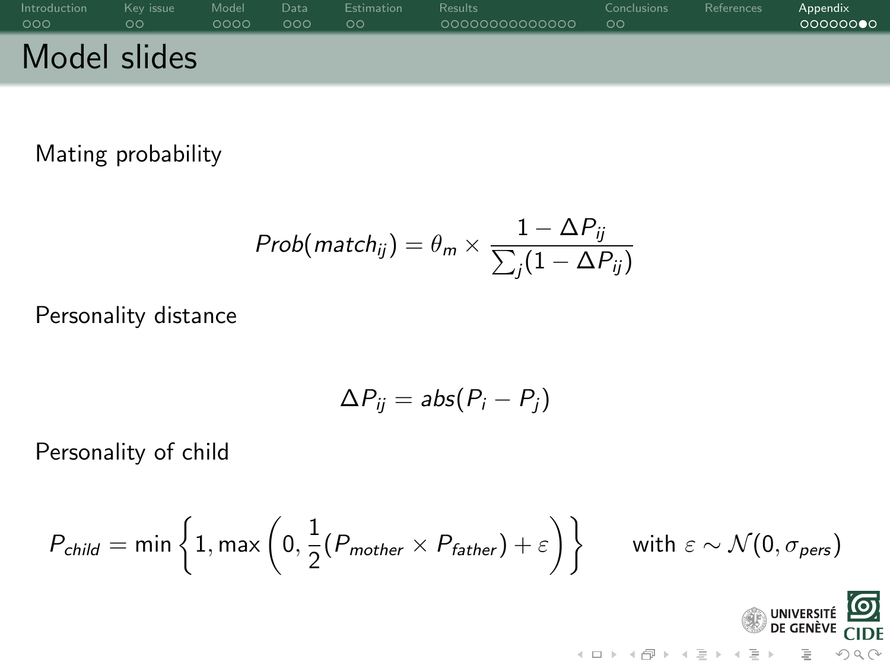| Introduction | Key issue | Model | Data | <b>Estimation</b> | <b>Results</b> | <b>Conclusions</b> | References | Appendix |
|--------------|-----------|-------|------|-------------------|----------------|--------------------|------------|----------|
| 000          | ಂ         | 0000  | 000  | ಂ                 | 0000000000000  | $\circ$            |            | 00000000 |
| Model slides |           |       |      |                   |                |                    |            |          |

Mating probability

$$
Prob(match_{ij}) = \theta_m \times \frac{1 - \Delta P_{ij}}{\sum_j (1 - \Delta P_{ij})}
$$

Personality distance

$$
\Delta P_{ij} = abs(P_i - P_j)
$$

Personality of child

$$
P_{child} = \min\left\{1, \max\left(0, \frac{1}{2}(P_{mother} \times P_{father}) + \varepsilon\right)\right\} \qquad \text{with } \varepsilon \sim \mathcal{N}(0, \sigma_{pers})
$$

UNIVERSITÉ O

 $\equiv$ 

 $OQ$ 

 $\overline{A}$  ,  $\overline{B}$  ,  $\overline{B}$  ,  $\overline{A}$  ,  $\overline{B}$  ,  $\overline{A}$  ,  $\overline{B}$  ,  $\overline{A}$  ,  $\overline{B}$  ,  $\overline{A}$